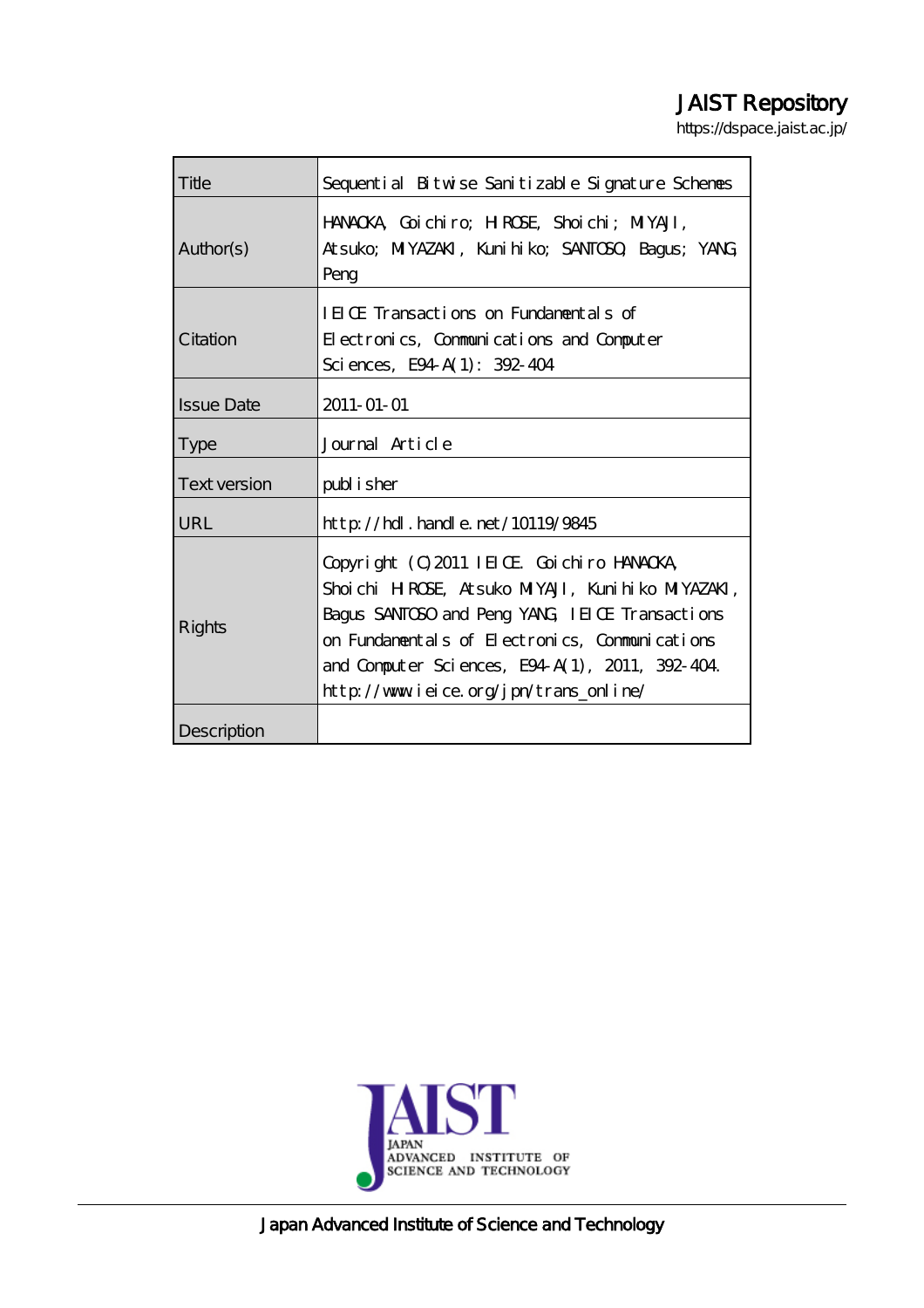# JAIST Repository

https://dspace.jaist.ac.jp/

| Title               | Sequential Bitwise Sanitizable Signature Schemes                                                                                                                                                                                                                                               |  |  |
|---------------------|------------------------------------------------------------------------------------------------------------------------------------------------------------------------------------------------------------------------------------------------------------------------------------------------|--|--|
| Author(s)           | HANACKA, Goichiro, HROSE, Shoichi; MIYAJI,<br>Atsuko; MIYAZAKI, Kunihiko; SANTOSO, Bagus; YANG;<br>Peng                                                                                                                                                                                        |  |  |
| Citation            | IEICE Transactions on Fundamentals of<br>Electronics, Communications and Computer<br>Sciences, E94 A(1): 392-404                                                                                                                                                                               |  |  |
| <b>Issue Date</b>   | 2011-01-01                                                                                                                                                                                                                                                                                     |  |  |
| <b>Type</b>         | Journal Article                                                                                                                                                                                                                                                                                |  |  |
| <b>Text version</b> | publisher                                                                                                                                                                                                                                                                                      |  |  |
| URL                 | $http$ // $hdl$ . handle. net/10119/9845                                                                                                                                                                                                                                                       |  |  |
| <b>Rights</b>       | Copyright (C) 2011 IEIOE Goichiro HANACKA<br>Shoichi HROSE, Atsuko MIYAJI, Kunihiko MIYAZAKI,<br>Bagus SANTOSO and Peng YANG IEIOE Transactions<br>on Fundamentals of Electronics, Communications<br>and Computer Sciences, E94 A(1), 2011, 392-404.<br>http://www.ieice.org/jpn/trans_online/ |  |  |
| Description         |                                                                                                                                                                                                                                                                                                |  |  |



Japan Advanced Institute of Science and Technology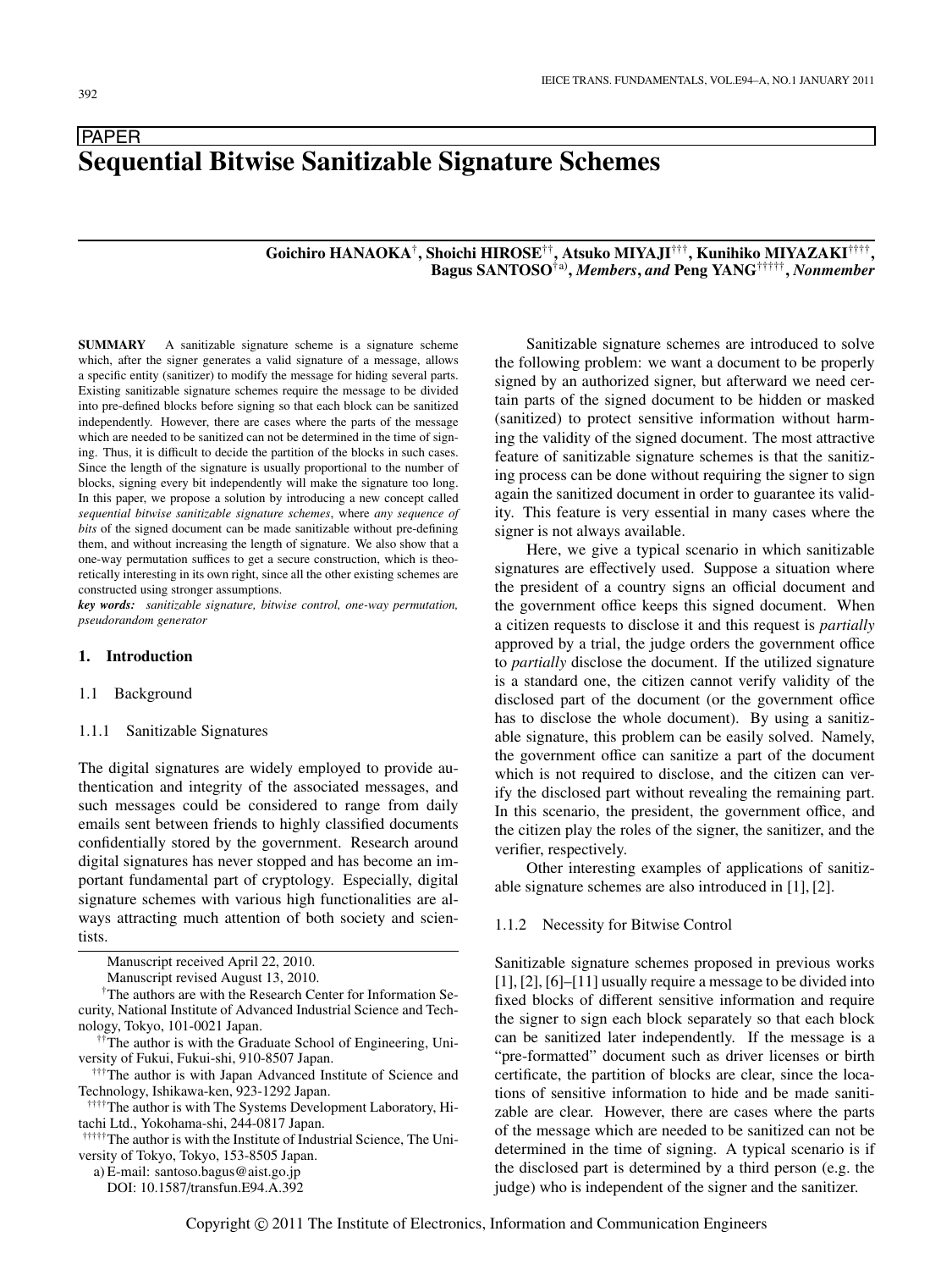## PAPER **Sequential Bitwise Sanitizable Signature Schemes**

## **Goichiro HANAOKA**†**, Shoichi HIROSE**††**, Atsuko MIYAJI**†††**, Kunihiko MIYAZAKI**††††**, Bagus SANTOSO**†a)**,** *Members***,** *and* **Peng YANG**†††††**,** *Nonmember*

**SUMMARY** A sanitizable signature scheme is a signature scheme which, after the signer generates a valid signature of a message, allows a specific entity (sanitizer) to modify the message for hiding several parts. Existing sanitizable signature schemes require the message to be divided into pre-defined blocks before signing so that each block can be sanitized independently. However, there are cases where the parts of the message which are needed to be sanitized can not be determined in the time of signing. Thus, it is difficult to decide the partition of the blocks in such cases. Since the length of the signature is usually proportional to the number of blocks, signing every bit independently will make the signature too long. In this paper, we propose a solution by introducing a new concept called *sequential bitwise sanitizable signature schemes*, where *any sequence of bits* of the signed document can be made sanitizable without pre-defining them, and without increasing the length of signature. We also show that a one-way permutation suffices to get a secure construction, which is theoretically interesting in its own right, since all the other existing schemes are constructed using stronger assumptions.

*key words: sanitizable signature, bitwise control, one-way permutation, pseudorandom generator*

## **1. Introduction**

## 1.1 Background

## 1.1.1 Sanitizable Signatures

The digital signatures are widely employed to provide authentication and integrity of the associated messages, and such messages could be considered to range from daily emails sent between friends to highly classified documents confidentially stored by the government. Research around digital signatures has never stopped and has become an important fundamental part of cryptology. Especially, digital signature schemes with various high functionalities are always attracting much attention of both society and scientists.

†The authors are with the Research Center for Information Security, National Institute of Advanced Industrial Science and Technology, Tokyo, 101-0021 Japan.

<sup>††</sup>The author is with the Graduate School of Engineering, University of Fukui, Fukui-shi, 910-8507 Japan.

†††The author is with Japan Advanced Institute of Science and Technology, Ishikawa-ken, 923-1292 Japan.

††††The author is with The Systems Development Laboratory, Hitachi Ltd., Yokohama-shi, 244-0817 Japan.

†††††The author is with the Institute of Industrial Science, The University of Tokyo, Tokyo, 153-8505 Japan.

a) E-mail: santoso.bagus@aist.go.jp

DOI: 10.1587/transfun.E94.A.392

Sanitizable signature schemes are introduced to solve the following problem: we want a document to be properly signed by an authorized signer, but afterward we need certain parts of the signed document to be hidden or masked (sanitized) to protect sensitive information without harming the validity of the signed document. The most attractive feature of sanitizable signature schemes is that the sanitizing process can be done without requiring the signer to sign again the sanitized document in order to guarantee its validity. This feature is very essential in many cases where the signer is not always available.

Here, we give a typical scenario in which sanitizable signatures are effectively used. Suppose a situation where the president of a country signs an official document and the government office keeps this signed document. When a citizen requests to disclose it and this request is *partially* approved by a trial, the judge orders the government office to *partially* disclose the document. If the utilized signature is a standard one, the citizen cannot verify validity of the disclosed part of the document (or the government office has to disclose the whole document). By using a sanitizable signature, this problem can be easily solved. Namely, the government office can sanitize a part of the document which is not required to disclose, and the citizen can verify the disclosed part without revealing the remaining part. In this scenario, the president, the government office, and the citizen play the roles of the signer, the sanitizer, and the verifier, respectively.

Other interesting examples of applications of sanitizable signature schemes are also introduced in [1], [2].

#### 1.1.2 Necessity for Bitwise Control

Sanitizable signature schemes proposed in previous works [1], [2], [6]–[11] usually require a message to be divided into fixed blocks of different sensitive information and require the signer to sign each block separately so that each block can be sanitized later independently. If the message is a "pre-formatted" document such as driver licenses or birth certificate, the partition of blocks are clear, since the locations of sensitive information to hide and be made sanitizable are clear. However, there are cases where the parts of the message which are needed to be sanitized can not be determined in the time of signing. A typical scenario is if the disclosed part is determined by a third person (e.g. the judge) who is independent of the signer and the sanitizer.

Manuscript received April 22, 2010.

Manuscript revised August 13, 2010.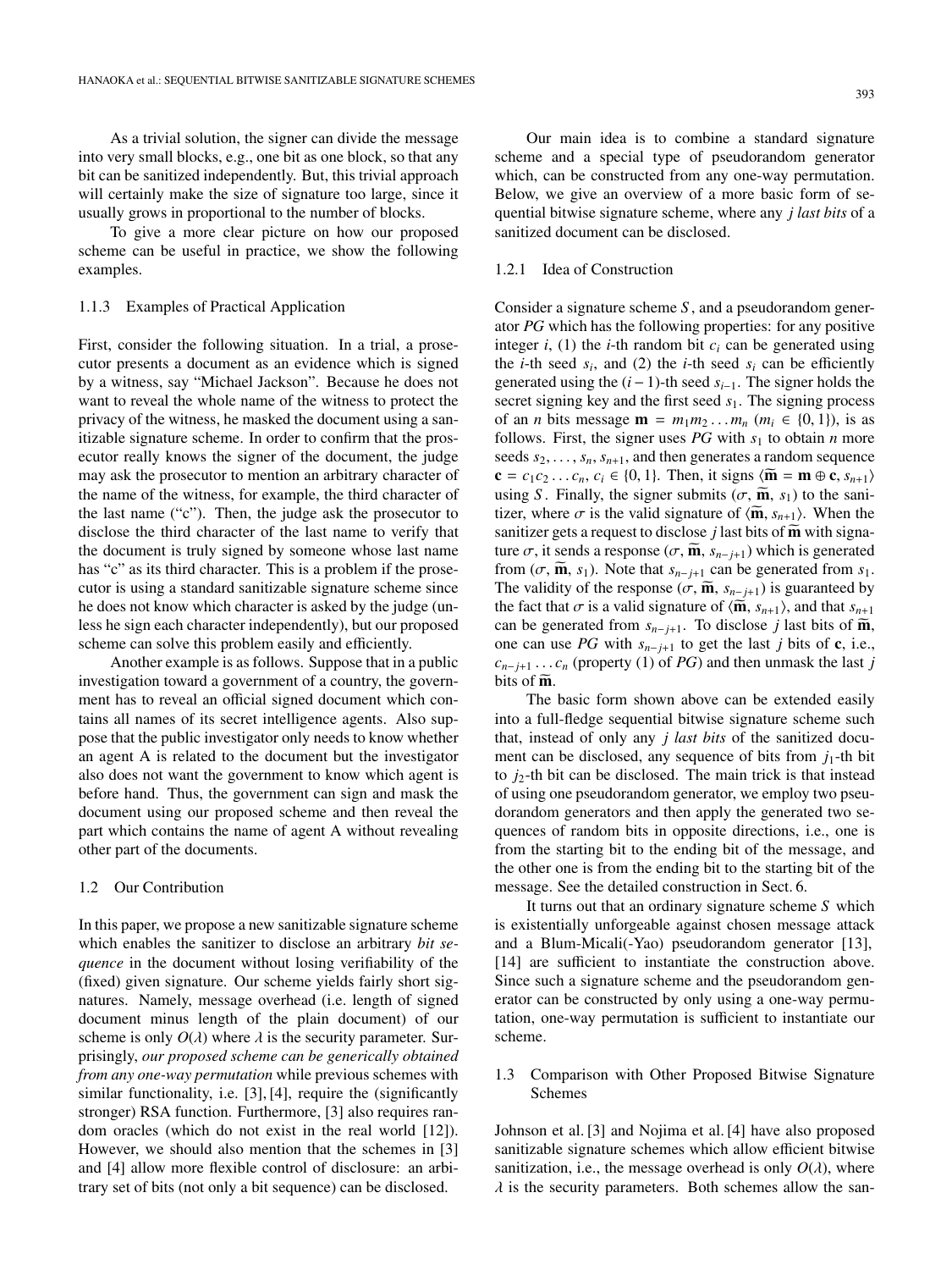As a trivial solution, the signer can divide the message into very small blocks, e.g., one bit as one block, so that any bit can be sanitized independently. But, this trivial approach will certainly make the size of signature too large, since it usually grows in proportional to the number of blocks.

To give a more clear picture on how our proposed scheme can be useful in practice, we show the following examples.

#### 1.1.3 Examples of Practical Application

First, consider the following situation. In a trial, a prosecutor presents a document as an evidence which is signed by a witness, say "Michael Jackson". Because he does not want to reveal the whole name of the witness to protect the privacy of the witness, he masked the document using a sanitizable signature scheme. In order to confirm that the prosecutor really knows the signer of the document, the judge may ask the prosecutor to mention an arbitrary character of the name of the witness, for example, the third character of the last name ("c"). Then, the judge ask the prosecutor to disclose the third character of the last name to verify that the document is truly signed by someone whose last name has "c" as its third character. This is a problem if the prosecutor is using a standard sanitizable signature scheme since he does not know which character is asked by the judge (unless he sign each character independently), but our proposed scheme can solve this problem easily and efficiently.

Another example is as follows. Suppose that in a public investigation toward a government of a country, the government has to reveal an official signed document which contains all names of its secret intelligence agents. Also suppose that the public investigator only needs to know whether an agent A is related to the document but the investigator also does not want the government to know which agent is before hand. Thus, the government can sign and mask the document using our proposed scheme and then reveal the part which contains the name of agent A without revealing other part of the documents.

#### 1.2 Our Contribution

In this paper, we propose a new sanitizable signature scheme which enables the sanitizer to disclose an arbitrary *bit sequence* in the document without losing verifiability of the (fixed) given signature. Our scheme yields fairly short signatures. Namely, message overhead (i.e. length of signed document minus length of the plain document) of our scheme is only  $O(\lambda)$  where  $\lambda$  is the security parameter. Surprisingly, *our proposed scheme can be generically obtained from any one-way permutation* while previous schemes with similar functionality, i.e. [3], [4], require the (significantly stronger) RSA function. Furthermore, [3] also requires random oracles (which do not exist in the real world [12]). However, we should also mention that the schemes in [3] and [4] allow more flexible control of disclosure: an arbitrary set of bits (not only a bit sequence) can be disclosed.

Our main idea is to combine a standard signature scheme and a special type of pseudorandom generator which, can be constructed from any one-way permutation. Below, we give an overview of a more basic form of sequential bitwise signature scheme, where any *j last bits* of a sanitized document can be disclosed.

## 1.2.1 Idea of Construction

Consider a signature scheme *S* , and a pseudorandom generator *PG* which has the following properties: for any positive integer  $i$ , (1) the  $i$ -th random bit  $c_i$  can be generated using the *i*-th seed  $s_i$ , and (2) the *i*-th seed  $s_i$  can be efficiently generated using the (*i* − 1)-th seed *si*−1. The signer holds the secret signing key and the first seed *s*1. The signing process of an *n* bits message  $\mathbf{m} = m_1 m_2 \dots m_n$  ( $m_i \in \{0, 1\}$ ), is as follows. First, the signer uses  $PG$  with  $s_1$  to obtain *n* more seeds  $s_2$ , ...,  $s_n$ ,  $s_{n+1}$ , and then generates a random sequence **c** =  $c_1c_2...c_n$ ,  $c_i \in \{0, 1\}$ . Then, it signs  $\langle \widetilde{\mathbf{m}} = \mathbf{m} \oplus \mathbf{c}, s_{n+1} \rangle$ using *S*. Finally, the signer submits  $(\sigma, \tilde{m}, s_1)$  to the sani-<br>tizer where  $\sigma$  is the valid signature of  $(\tilde{m}, s_1)$ . When the tizer, where  $\sigma$  is the valid signature of  $\langle \mathbf{\tilde{m}}, s_{n+1} \rangle$ . When the sanitizer gets a request to disclose *i* last bits of  $\mathbf{\tilde{m}}$  with signasanitizer gets a request to disclose *j* last bits of  $\widetilde{\mathbf{m}}$  with signa-<br>ture  $\sigma$ , it sends a response  $(\sigma, \widetilde{\mathbf{m}})$ , s. ...) which is generated ture  $\sigma$ , it sends a response  $(\sigma, \widetilde{\mathbf{m}}, s_{n-j+1})$  which is generated<br>from  $(\sigma, \widetilde{\mathbf{m}}, s_1)$ . Note that see the generated from space from ( $\sigma$ ,  $\tilde{\mathbf{m}}$ ,  $s_1$ ). Note that  $s_{n-j+1}$  can be generated from  $s_1$ .<br>The validity of the response ( $\sigma$ ,  $\tilde{\mathbf{m}}$ ,  $s_{n-1}$ ) is guaranteed by The validity of the response  $(\sigma, \tilde{\mathbf{m}}, s_{n-j+1})$  is guaranteed by the fact that  $\sigma$  is a valid signature of  $(\tilde{\mathbf{m}}, s_{n+1})$  and that  $s_{n+1}$ the fact that  $\sigma$  is a valid signature of  $\langle \widetilde{\mathbf{m}}, s_{n+1} \rangle$ , and that  $s_{n+1}$ <br>can be generated from  $s_{n+1}$ . To disclose *i* last hits of  $\widetilde{\mathbf{m}}$ can be generated from  $s_{n-j+1}$ . To disclose *j* last bits of **m**, one can use *PG* with  $s_{n-j+1}$  to get the last *i* bits of **c** i.e. one can use *PG* with  $s_{n-i+1}$  to get the last *j* bits of **c**, i.e.,  $c_{n-i+1}$ ... *c<sub>n</sub>* (property (1) of *PG*) and then unmask the last *j* bits of **<sup>m</sup>**-.

The basic form shown above can be extended easily into a full-fledge sequential bitwise signature scheme such that, instead of only any *j last bits* of the sanitized document can be disclosed, any sequence of bits from  $j_1$ -th bit to  $j_2$ -th bit can be disclosed. The main trick is that instead of using one pseudorandom generator, we employ two pseudorandom generators and then apply the generated two sequences of random bits in opposite directions, i.e., one is from the starting bit to the ending bit of the message, and the other one is from the ending bit to the starting bit of the message. See the detailed construction in Sect. 6.

It turns out that an ordinary signature scheme *S* which is existentially unforgeable against chosen message attack and a Blum-Micali(-Yao) pseudorandom generator [13], [14] are sufficient to instantiate the construction above. Since such a signature scheme and the pseudorandom generator can be constructed by only using a one-way permutation, one-way permutation is sufficient to instantiate our scheme.

## 1.3 Comparison with Other Proposed Bitwise Signature Schemes

Johnson et al. [3] and Nojima et al. [4] have also proposed sanitizable signature schemes which allow efficient bitwise sanitization, i.e., the message overhead is only  $O(\lambda)$ , where  $\lambda$  is the security parameters. Both schemes allow the san-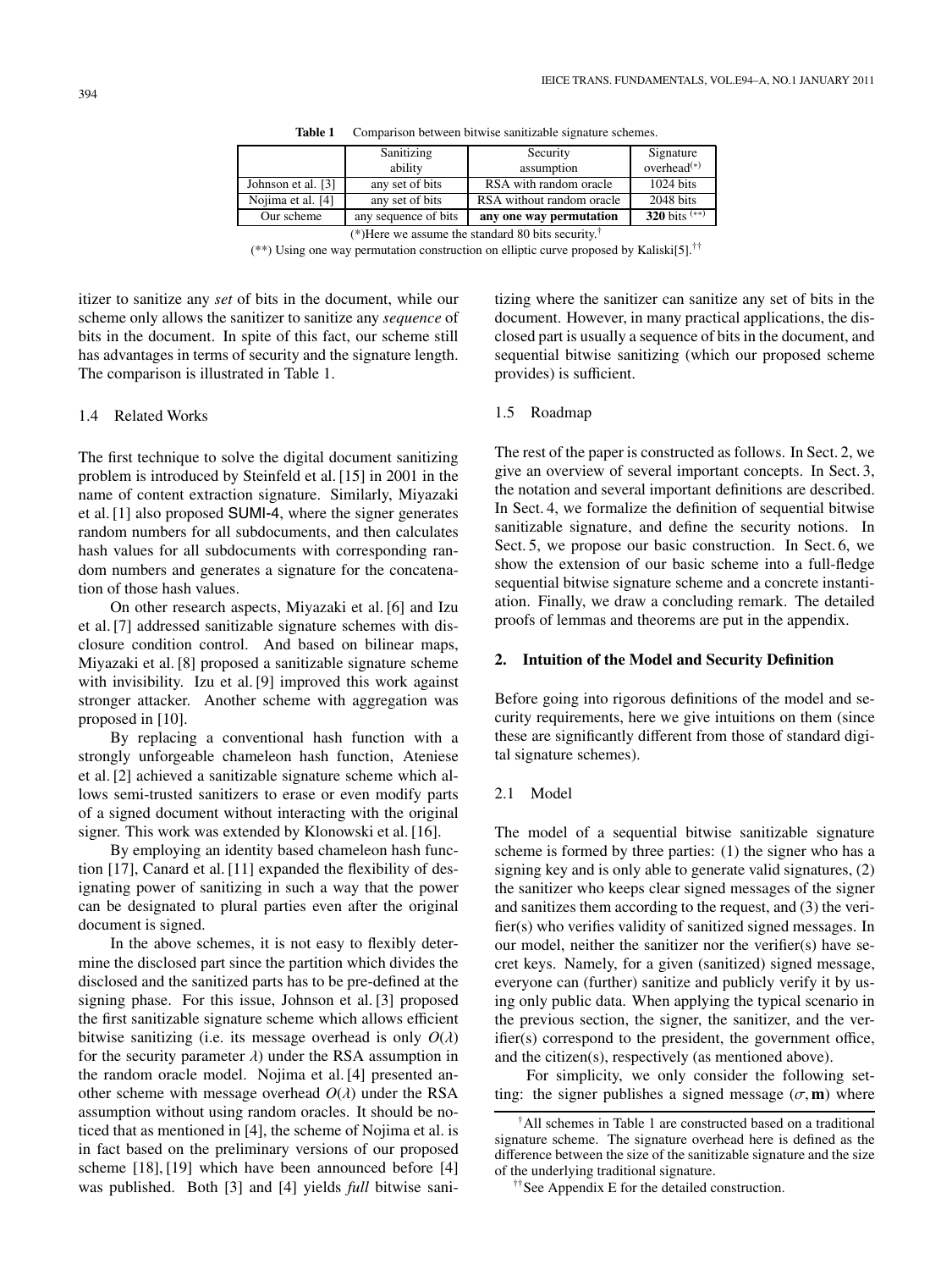|                    | Sanitizing           | Security                  | Signature       |
|--------------------|----------------------|---------------------------|-----------------|
|                    | ability              | assumption                | $overhead(*)$   |
| Johnson et al. [3] | any set of bits      | RSA with random oracle    | $1024$ bits     |
| Nojima et al. [4]  | any set of bits      | RSA without random oracle | 2048 bits       |
| Our scheme         | any sequence of bits | any one way permutation   | 320 bits $(**)$ |

Table 1 Comparison between bitwise sanitizable signature schemes.

(\*)Here we assume the standard 80 bits security.<sup>†</sup>

(\*\*) Using one way permutation construction on elliptic curve proposed by Kaliski[5].<sup>††</sup>

itizer to sanitize any *set* of bits in the document, while our scheme only allows the sanitizer to sanitize any *sequence* of bits in the document. In spite of this fact, our scheme still has advantages in terms of security and the signature length. The comparison is illustrated in Table 1.

## 1.4 Related Works

The first technique to solve the digital document sanitizing problem is introduced by Steinfeld et al. [15] in 2001 in the name of content extraction signature. Similarly, Miyazaki et al. [1] also proposed SUMI-4, where the signer generates random numbers for all subdocuments, and then calculates hash values for all subdocuments with corresponding random numbers and generates a signature for the concatenation of those hash values.

On other research aspects, Miyazaki et al. [6] and Izu et al. [7] addressed sanitizable signature schemes with disclosure condition control. And based on bilinear maps, Miyazaki et al. [8] proposed a sanitizable signature scheme with invisibility. Izu et al. [9] improved this work against stronger attacker. Another scheme with aggregation was proposed in [10].

By replacing a conventional hash function with a strongly unforgeable chameleon hash function, Ateniese et al. [2] achieved a sanitizable signature scheme which allows semi-trusted sanitizers to erase or even modify parts of a signed document without interacting with the original signer. This work was extended by Klonowski et al. [16].

By employing an identity based chameleon hash function [17], Canard et al. [11] expanded the flexibility of designating power of sanitizing in such a way that the power can be designated to plural parties even after the original document is signed.

In the above schemes, it is not easy to flexibly determine the disclosed part since the partition which divides the disclosed and the sanitized parts has to be pre-defined at the signing phase. For this issue, Johnson et al. [3] proposed the first sanitizable signature scheme which allows efficient bitwise sanitizing (i.e. its message overhead is only  $O(\lambda)$ ) for the security parameter  $\lambda$ ) under the RSA assumption in the random oracle model. Nojima et al. [4] presented another scheme with message overhead  $O(\lambda)$  under the RSA assumption without using random oracles. It should be noticed that as mentioned in [4], the scheme of Nojima et al. is in fact based on the preliminary versions of our proposed scheme [18], [19] which have been announced before [4] was published. Both [3] and [4] yields *full* bitwise sanitizing where the sanitizer can sanitize any set of bits in the document. However, in many practical applications, the disclosed part is usually a sequence of bits in the document, and sequential bitwise sanitizing (which our proposed scheme provides) is sufficient.

#### 1.5 Roadmap

The rest of the paper is constructed as follows. In Sect. 2, we give an overview of several important concepts. In Sect. 3, the notation and several important definitions are described. In Sect. 4, we formalize the definition of sequential bitwise sanitizable signature, and define the security notions. In Sect. 5, we propose our basic construction. In Sect. 6, we show the extension of our basic scheme into a full-fledge sequential bitwise signature scheme and a concrete instantiation. Finally, we draw a concluding remark. The detailed proofs of lemmas and theorems are put in the appendix.

#### **2. Intuition of the Model and Security Definition**

Before going into rigorous definitions of the model and security requirements, here we give intuitions on them (since these are significantly different from those of standard digital signature schemes).

#### 2.1 Model

The model of a sequential bitwise sanitizable signature scheme is formed by three parties: (1) the signer who has a signing key and is only able to generate valid signatures, (2) the sanitizer who keeps clear signed messages of the signer and sanitizes them according to the request, and (3) the verifier(s) who verifies validity of sanitized signed messages. In our model, neither the sanitizer nor the verifier(s) have secret keys. Namely, for a given (sanitized) signed message, everyone can (further) sanitize and publicly verify it by using only public data. When applying the typical scenario in the previous section, the signer, the sanitizer, and the verifier(s) correspond to the president, the government office, and the citizen(s), respectively (as mentioned above).

For simplicity, we only consider the following setting: the signer publishes a signed message  $(\sigma, \mathbf{m})$  where

<sup>†</sup>All schemes in Table 1 are constructed based on a traditional signature scheme. The signature overhead here is defined as the difference between the size of the sanitizable signature and the size of the underlying traditional signature.

<sup>&</sup>lt;sup>††</sup>See Appendix E for the detailed construction.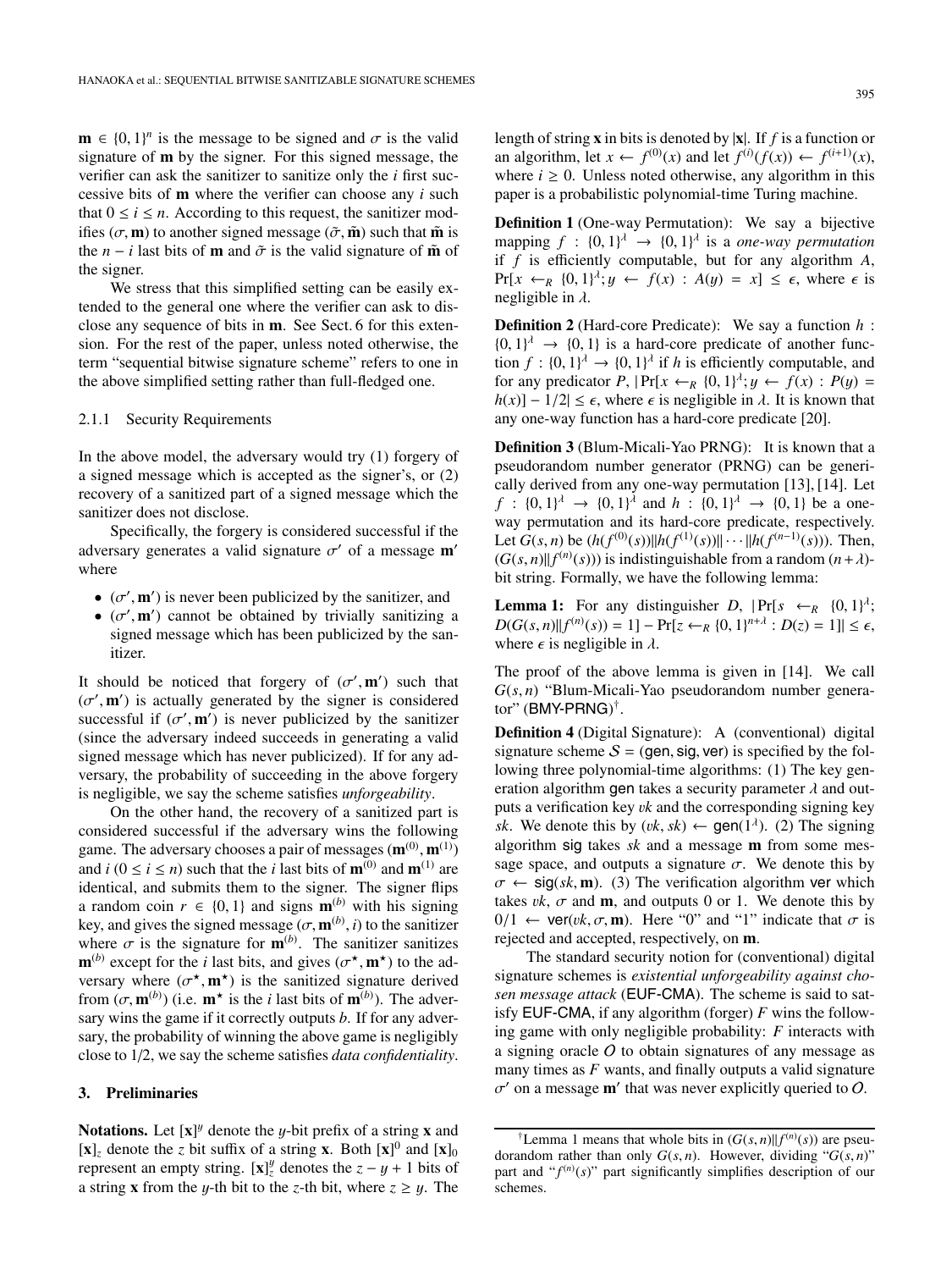$\mathbf{m} \in \{0, 1\}^n$  is the message to be signed and  $\sigma$  is the valid<br>signature of **m** by the signer. For this signed message, the signature of **m** by the signer. For this signed message, the verifier can ask the sanitizer to sanitize only the *i* first successive bits of **m** where the verifier can choose any *i* such that  $0 \le i \le n$ . According to this request, the sanitizer modifies  $(\sigma, \mathbf{m})$  to another signed message  $(\tilde{\sigma}, \tilde{\mathbf{m}})$  such that  $\tilde{\mathbf{m}}$  is the *n* − *i* last bits of **m** and  $\tilde{\sigma}$  is the valid signature of  $\tilde{\mathbf{m}}$  of the signer.

We stress that this simplified setting can be easily extended to the general one where the verifier can ask to disclose any sequence of bits in **m**. See Sect. 6 for this extension. For the rest of the paper, unless noted otherwise, the term "sequential bitwise signature scheme" refers to one in the above simplified setting rather than full-fledged one.

#### 2.1.1 Security Requirements

In the above model, the adversary would try (1) forgery of a signed message which is accepted as the signer's, or (2) recovery of a sanitized part of a signed message which the sanitizer does not disclose.

Specifically, the forgery is considered successful if the adversary generates a valid signature  $\sigma'$  of a message m' where

- ( $\sigma'$ , **m'**) is never been publicized by the sanitizer, and<br>•  $(\sigma'$ , **m'**) cannot be obtained by trivially sanitizing
- $(\sigma', m')$  cannot be obtained by trivially sanitizing a signed message which has been publicized by the sansigned message which has been publicized by the sanitizer.

It should be noticed that forgery of  $(\sigma', \mathbf{m}')$  such that  $(\sigma', \mathbf{m}')$  is actually generated by the signer is considered  $(\sigma', \mathbf{m}')$  is actually generated by the signer is considered<br>successful if  $(\sigma', \mathbf{m}')$  is never publicized by the sanitizer successful if  $(\sigma', \mathbf{m}')$  is never publicized by the sanitizer<br>(since the adversary indeed succeeds in generating a valid (since the adversary indeed succeeds in generating a valid signed message which has never publicized). If for any adversary, the probability of succeeding in the above forgery is negligible, we say the scheme satisfies *unforgeability*.

On the other hand, the recovery of a sanitized part is considered successful if the adversary wins the following game. The adversary chooses a pair of messages  $(\mathbf{m}^{(0)}, \mathbf{m}^{(1)})$ and  $i$  ( $0 \le i \le n$ ) such that the *i* last bits of  $\mathbf{m}^{(0)}$  and  $\mathbf{m}^{(1)}$  are identical, and submits them to the signer. The signer flips a random coin  $r \in \{0, 1\}$  and signs  $\mathbf{m}^{(b)}$  with his signing key, and gives the signed message  $(\sigma, \mathbf{m}^{(b)}, i)$  to the sanitizer<br>where  $\sigma$  is the signature for  $\mathbf{m}^{(b)}$ . The sanitizer sanitizes where  $\sigma$  is the signature for  $\mathbf{m}^{(b)}$ . The sanitizer sanitizes  $\mathbf{m}^{(b)}$  except for the *i* last bits and gives  $(\sigma^* \mathbf{m}^*)$  to the ad- $\mathbf{m}^{(b)}$  except for the *i* last bits, and gives ( $\sigma^*$ ,  $\mathbf{m}^*$ ) to the adversary where  $(\sigma^*, m^*)$  is the sanitized signature derived from  $(\sigma, \mathbf{m}^{(b)})$  (i.e.  $\mathbf{m}^*$  is the *i* last bits of  $\mathbf{m}^{(b)}$ ). The adver-<br>sary wins the game if it correctly outputs *b*. If for any adversary wins the game if it correctly outputs *b*. If for any adversary, the probability of winning the above game is negligibly close to 1/2, we say the scheme satisfies *data confidentiality*.

## **3. Preliminaries**

**Notations.** Let  $[\mathbf{x}]^y$  denote the y-bit prefix of a string **x** and  $[\mathbf{x}]$  denote the z bit suffix of a string **x**. Both  $[\mathbf{x}]^0$  and  $[\mathbf{x}]_0$ .  $[\mathbf{x}]_z$  denote the *z* bit suffix of a string **x**. Both  $[\mathbf{x}]$ <sup>0</sup> and  $[\mathbf{x}]_0$ represent an empty string.  $[\mathbf{x}]_z^y$  denotes the  $z - y + 1$  bits of a string **x** from the *u*-th bit to the *z*-th bit where  $z \geq u$ . The a string **x** from the y-th bit to the *z*-th bit, where  $z \ge y$ . The length of string **x** in bits is denoted by |**x**|. If *f* is a function or an algorithm, let  $x \leftarrow f^{(0)}(x)$  and let  $f^{(i)}(f(x)) \leftarrow f^{(i+1)}(x)$ , where  $i \geq 0$ . Unless noted otherwise, any algorithm in this paper is a probabilistic polynomial-time Turing machine.

**Definition 1** (One-way Permutation): We say a bijective mapping  $f : \{0,1\}^{\lambda} \to \{0,1\}^{\lambda}$  is a *one-way permutation*<br>if f is efficiently computable but for any algorithm A if *f* is efficiently computable, but for any algorithm *A*,  $Pr[x \leftarrow_R \{0, 1\}^{\lambda}; y \leftarrow f(x) : A(y) = x] \leq \epsilon$ , where  $\epsilon$  is negligible in  $\lambda$ negligible in  $\lambda$ .

**Definition 2** (Hard-core Predicate): We say a function *h* :  $\{0,1\}^{\lambda} \rightarrow \{0,1\}$  is a hard-core predicate of another function  $f : \{0,1\}^{\lambda} \rightarrow \{0,1\}^{\lambda}$  if h is efficiently computable and tion  $f : \{0, 1\}^{\lambda} \to \{0, 1\}^{\lambda}$  if *h* is efficiently computable, and for any predicator  $P \perp Pr[x \leftarrow p, \{0, 1\}^{\lambda} : \mu \leftarrow f(x) : P(\mu)$ for any predicator *P*,  $|\Pr[x \leftarrow_R \{0, 1\}^{\lambda}; y \leftarrow f(x) : P(y) =$ <br> $h(x)|-1/2| \leq \epsilon$  where  $\epsilon$  is negligible in  $\lambda$ . It is known that  $h(x)$ ] − 1/2| ≤  $\epsilon$ , where  $\epsilon$  is negligible in  $\lambda$ . It is known that any one-way function has a hard-core predicate [20].

**Definition 3** (Blum-Micali-Yao PRNG): It is known that a pseudorandom number generator (PRNG) can be generically derived from any one-way permutation [13], [14]. Let  $f : \{0, 1\}^{\lambda} \to \{0, 1\}^{\lambda}$  and  $h : \{0, 1\}^{\lambda} \to \{0, 1\}$  be a one-<br>way permutation and its hard-core predicate respectively way permutation and its hard-core predicate, respectively. Let  $G(s, n)$  be  $(h(f^{(0)}(s))||h(f^{(1)}(s))|| \cdots ||h(f^{(n-1)}(s))$ . Then,  $(G(s, n)||f^{(n)}(s))$  is indistinguishable from a random  $(n + \lambda)$ -<br>bit string. Formally, we have the following lemma: bit string. Formally, we have the following lemma:

**Lemma 1:** For any distinguisher *D*,  $|\Pr[s \leftarrow_R \{0, 1\}^{\lambda};$ <br> $D(G(s, n) || f^{(n)}(s)) = 11 - Pr[s \leftarrow_R \{0, 1\}^{n+\lambda} : D(s) = 11] \le \epsilon$  $D(G(s, n)||f^{(n)}(s)) = 1] - Pr[z \leftarrow_R \{0, 1\}^{n+\lambda} : D(z) = 1]|\leq \epsilon,$ <br>where  $\epsilon$  is negligible in  $\lambda$ where  $\epsilon$  is negligible in  $\lambda$ .

The proof of the above lemma is given in [14]. We call *<sup>G</sup>*(*s*, *<sup>n</sup>*) "Blum-Micali-Yao pseudorandom number generator" (BMY-PRNG) †.

**Definition 4** (Digital Signature): A (conventional) digital signature scheme  $S = (gen, sig, ver)$  is specified by the following three polynomial-time algorithms: (1) The key generation algorithm gen takes a security parameter  $\lambda$  and outputs a verification key v*<sup>k</sup>* and the corresponding signing key *sk*. We denote this by  $(vk, sk) \leftarrow \text{gen}(1^{\lambda})$ . (2) The signing algorithm sig takes *sk* and a message **m** from some message space, and outputs a signature  $\sigma$ . We denote this by  $\sigma \leftarrow \text{sig}(sk, \textbf{m})$ . (3) The verification algorithm ver which takes *vk*,  $\sigma$  and **m**, and outputs 0 or 1. We denote this by  $0/1 \leftarrow \text{ver}(vk, \sigma, \mathbf{m})$ . Here "0" and "1" indicate that  $\sigma$  is rejected and accepted, respectively, on **m**.

The standard security notion for (conventional) digital signature schemes is *existential unforgeability against chosen message attack* (EUF-CMA). The scheme is said to satisfy EUF-CMA, if any algorithm (forger) *F* wins the following game with only negligible probability: *F* interacts with a signing oracle  $O$  to obtain signatures of any message as many times as *F* wants, and finally outputs a valid signature  $\sigma'$  on a message **m**' that was never explicitly queried to O.

<sup>&</sup>lt;sup>†</sup>Lemma 1 means that whole bits in  $(G(s, n)||f^{(n)}(s))$  are pseu-<br>undom rather than only  $G(s, n)$ . However, dividing " $G(s, n)$ " dorandom rather than only  $G(s, n)$ . However, dividing " $G(s, n)$ " part and " $f^{(n)}(s)$ " part significantly simplifies description of our schemes.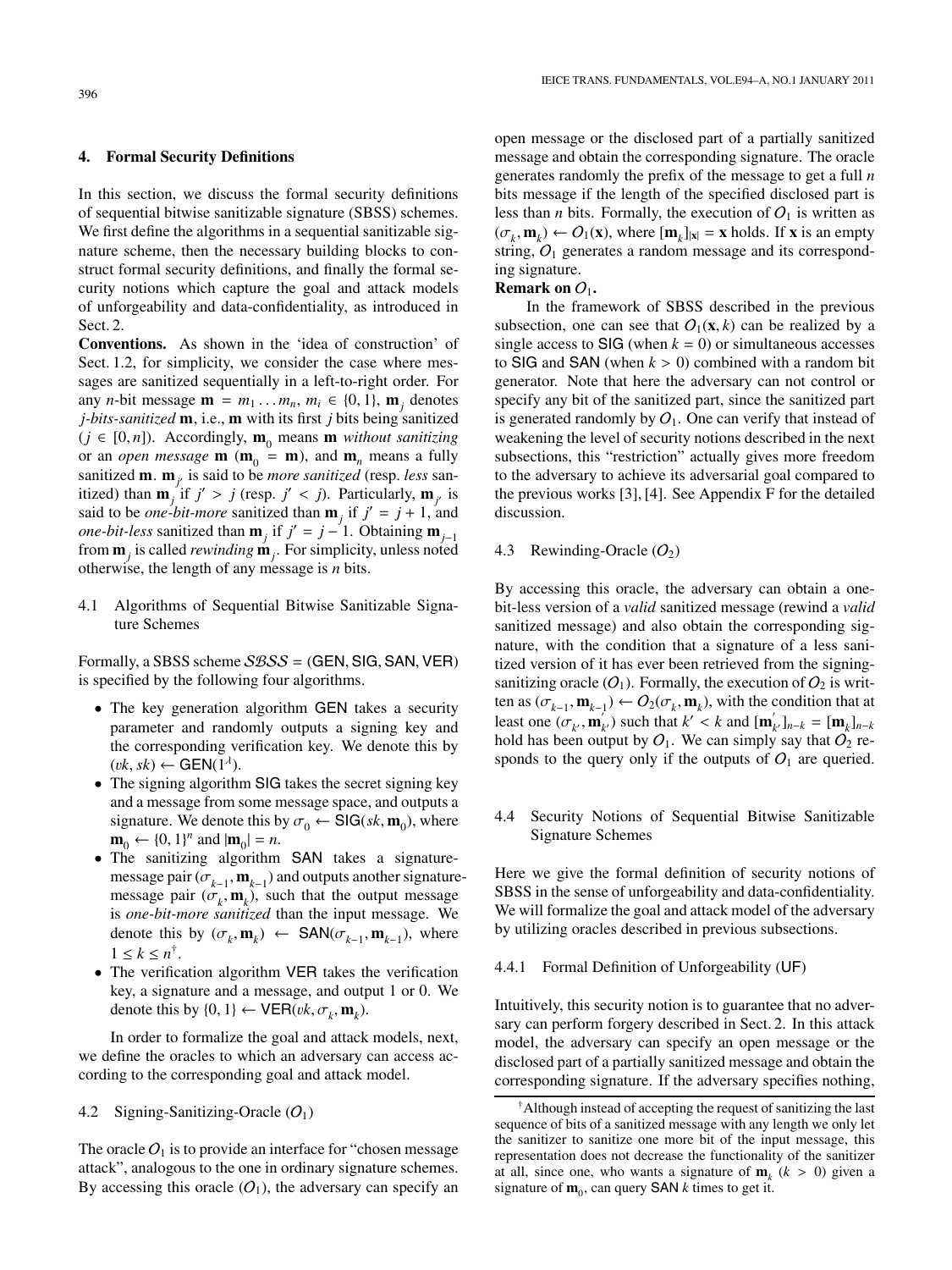## **4. Formal Security Definitions**

In this section, we discuss the formal security definitions of sequential bitwise sanitizable signature (SBSS) schemes. We first define the algorithms in a sequential sanitizable signature scheme, then the necessary building blocks to construct formal security definitions, and finally the formal security notions which capture the goal and attack models of unforgeability and data-confidentiality, as introduced in Sect. 2.

**Conventions.** As shown in the 'idea of construction' of Sect. 1.2, for simplicity, we consider the case where messages are sanitized sequentially in a left-to-right order. For any *n*-bit message  $\mathbf{m} = m_1 \dots m_n$ ,  $m_i \in \{0, 1\}$ ,  $\mathbf{m}_i$  denotes *j-bits-sanitized* **m**, i.e., **m** with its first *j* bits being sanitized  $(j ∈ [0, n])$ . Accordingly, **m**<sub>0</sub> means **m** *without sanitizing* or an *open message* **m** ( $\mathbf{m}_0 = \mathbf{m}$ ), and  $\mathbf{m}_n$  means a fully sanitized **m**. **m***<sup>j</sup>* is said to be *more sanitized* (resp. *less* sanitized) than  $\mathbf{m}_j$  if  $j' > j$  (resp.  $j' < j$ ). Particularly,  $\mathbf{m}_j$  is<br>said to be *one-bit-more* sanitized than  $\mathbf{m}_j$  if  $j' = j + 1$  and said to be *one-bit-more* sanitized than  $\mathbf{m}_j$  if  $j' = j + 1$ , and *one-bit-less* sanitized than **m**<sub>*j*</sub> if *j*<sup> $′$ </sup> = *j* − 1. Obtaining **m**<sub>*j*−1</sub> from **m***<sup>j</sup>* is called *rewinding* **m***<sup>j</sup>* . For simplicity, unless noted otherwise, the length of any message is *n* bits.

4.1 Algorithms of Sequential Bitwise Sanitizable Signature Schemes

Formally, a SBSS scheme  $SSSS = (GEN, SIG, SAN, VER)$ is specified by the following four algorithms.

- The key generation algorithm GEN takes a security parameter and randomly outputs a signing key and the corresponding verification key. We denote this by  $(vk, sk) \leftarrow$  GEN(1<sup> $\lambda$ </sup>).
- The signing algorithm SIG takes the secret signing key and a message from some message space, and outputs a signature. We denote this by  $\sigma_0 \leftarrow \text{SIG}(sk, \mathbf{m}_0)$ , where  $\mathbf{m}_0 \leftarrow \{0, 1\}^n$  and  $|\mathbf{m}_0| = n$ .<br>The sanitizing algorithm
- The sanitizing algorithm SAN takes a signaturemessage pair ( $\sigma_{k-1}$ ,  $\mathbf{m}_{k-1}$ ) and outputs another signaturemessage pair  $(\sigma_k, \mathbf{m}_k)$ , such that the output message is *one-bit-more sanitized* than the input message. We denote this by  $(\sigma_k, \mathbf{m}_k) \leftarrow \text{SAN}(\sigma_{k-1}, \mathbf{m}_{k-1}),$  where  $1 \leq k \leq n^{\dagger}$ .
- The verification algorithm VER takes the verification key, a signature and a message, and output 1 or 0. We denote this by  $\{0, 1\} \leftarrow \text{VER}(vk, \sigma_k, \mathbf{m}_k)$ .

In order to formalize the goal and attack models, next, we define the oracles to which an adversary can access according to the corresponding goal and attack model.

## 4.2 Signing-Sanitizing-Oracle  $(O_1)$

The oracle  $O_1$  is to provide an interface for "chosen message" attack", analogous to the one in ordinary signature schemes. By accessing this oracle  $(O_1)$ , the adversary can specify an open message or the disclosed part of a partially sanitized message and obtain the corresponding signature. The oracle generates randomly the prefix of the message to get a full *n* bits message if the length of the specified disclosed part is less than *n* bits. Formally, the execution of  $O_1$  is written as  $(\sigma_k, \mathbf{m}_k) \leftarrow O_1(\mathbf{x})$ , where  $[\mathbf{m}_k]_{|\mathbf{x}|} = \mathbf{x}$  holds. If  $\mathbf{x}$  is an empty string,  $O_1$  generates a random message and its corresponding signature.

## **Remark on**  $O_1$ .

In the framework of SBSS described in the previous subsection, one can see that  $O_1(x, k)$  can be realized by a single access to  $\textsf{SIG}$  (when  $k = 0$ ) or simultaneous accesses to SIG and SAN (when  $k > 0$ ) combined with a random bit generator. Note that here the adversary can not control or specify any bit of the sanitized part, since the sanitized part is generated randomly by  $O<sub>1</sub>$ . One can verify that instead of weakening the level of security notions described in the next subsections, this "restriction" actually gives more freedom to the adversary to achieve its adversarial goal compared to the previous works [3], [4]. See Appendix F for the detailed discussion.

## 4.3 Rewinding-Oracle  $(O_2)$

By accessing this oracle, the adversary can obtain a onebit-less version of a *valid* sanitized message (rewind a *valid* sanitized message) and also obtain the corresponding signature, with the condition that a signature of a less sanitized version of it has ever been retrieved from the signingsanitizing oracle  $(O_1)$ . Formally, the execution of  $O_2$  is written as  $(\sigma_{k-1}, \mathbf{m}_{k-1}) \leftarrow O_2(\sigma_k, \mathbf{m}_k)$ , with the condition that at least one  $(\sigma_k, \mathbf{m}'_k)$  such that  $k' < k$  and  $[\mathbf{m}'_k]_{n-k} = [\mathbf{m}_k]_{n-k}$ <br>hold has been output by  $\Omega$ . We can simply say that  $\Omega_0$  rehold has been output by  $O_1$ . We can simply say that  $O_2$  responds to the query only if the outputs of  $O_1$  are queried.

4.4 Security Notions of Sequential Bitwise Sanitizable Signature Schemes

Here we give the formal definition of security notions of SBSS in the sense of unforgeability and data-confidentiality. We will formalize the goal and attack model of the adversary by utilizing oracles described in previous subsections.

## 4.4.1 Formal Definition of Unforgeability (UF)

Intuitively, this security notion is to guarantee that no adversary can perform forgery described in Sect. 2. In this attack model, the adversary can specify an open message or the disclosed part of a partially sanitized message and obtain the corresponding signature. If the adversary specifies nothing,

<sup>†</sup>Although instead of accepting the request of sanitizing the last sequence of bits of a sanitized message with any length we only let the sanitizer to sanitize one more bit of the input message, this representation does not decrease the functionality of the sanitizer at all, since one, who wants a signature of  $\mathbf{m}_k$  ( $k > 0$ ) given a signature of  $\mathbf{m}_0$ , can query SAN  $k$  times to get it.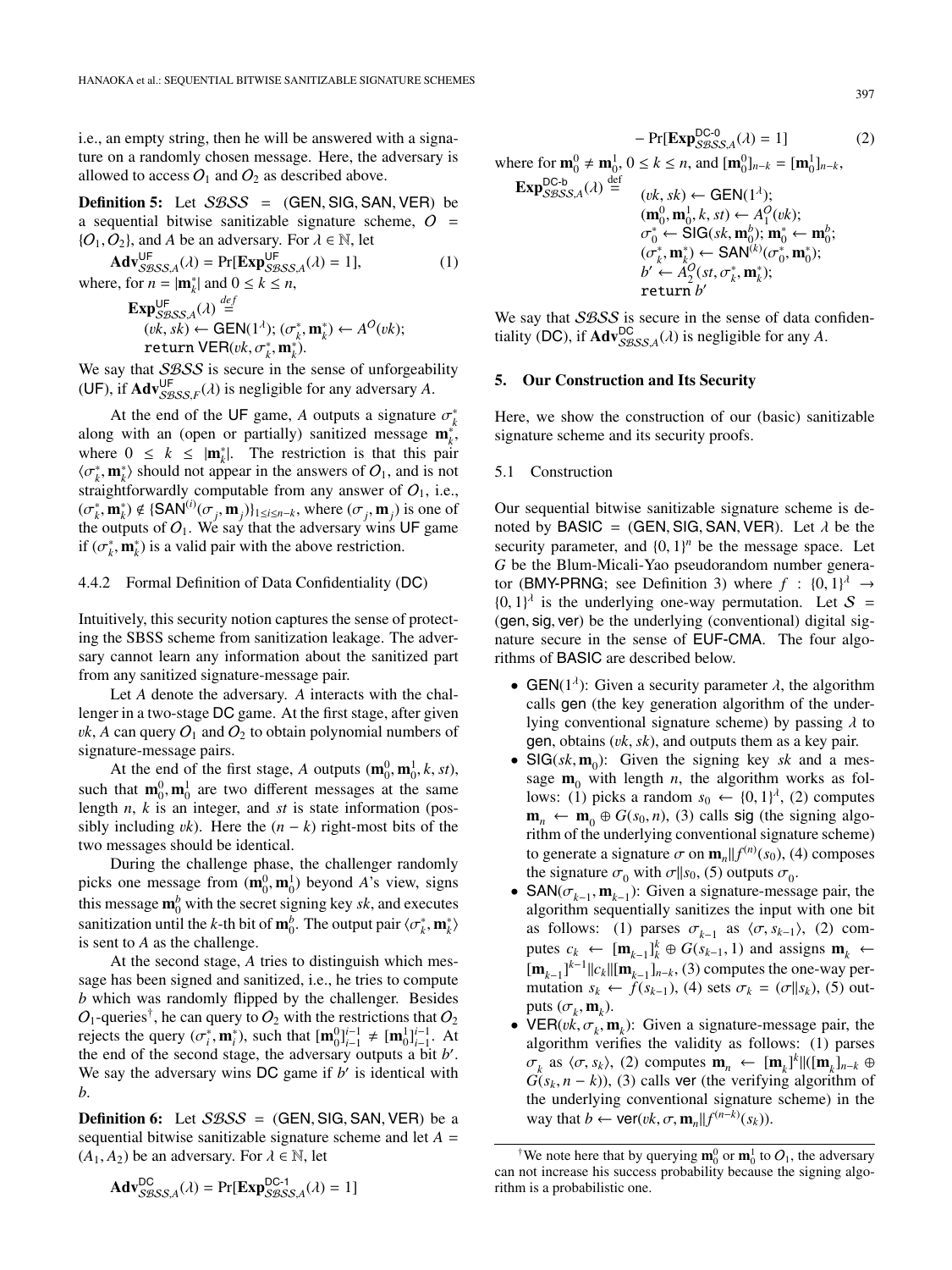i.e., an empty string, then he will be answered with a signature on a randomly chosen message. Here, the adversary is allowed to access  $O_1$  and  $O_2$  as described above.

**Definition 5:** Let  $SBSS = (GEN, SIG, SAN, VER)$  be a sequential bitwise sanitizable signature scheme,  $O =$  $\{O_1, O_2\}$ , and *A* be an adversary. For  $\lambda \in \mathbb{N}$ , let

 $\mathbf{Adv}_{SBS,A}^{UF}(\lambda) = \Pr[\mathbf{Exp}_{SBS,A}^{UF}(\lambda) = 1],$  (1) where, for  $n = |\mathbf{m}_k^*|$  and  $0 \le k \le n$ ,

 $\mathbf{Exp}_{SSSS, A}^{\mathsf{UF}}(\lambda) \stackrel{def}{=}$  $(vk, sk) \leftarrow \text{GEN}(1^{\lambda}); ( \sigma_k^*, \mathbf{m}_k^*) \leftarrow A^{\mathcal{O}}(vk);$ <br>return  $\text{VER}(vk, \sigma^*, \mathbf{m}^*)$  $\mathbf{r}$  et urn  $\mathsf{VER}(vk, \sigma_k^*, \mathbf{m}_k^*)$ .<br> *k S*<sup>*Q*</sup> *S*<sup>*S*</sup> *k*<sub>2</sub> seques in the

We say that SBSS is secure in the sense of unforgeability (UF), if  $\mathbf{Adv}_{SSSS,F}^{UF}(\lambda)$  is negligible for any adversary A.

At the end of the UF game, *A* outputs a signature  $\sigma_k^*$ <br>*k* with an (open or partially) sanitized message  $\mathbf{m}^*$ along with an (open or partially) sanitized message  $\mathbf{m}_{k}^{*}$ , where  $0 \leq k \leq |\mathbf{m}_{k}^{*}|$ . The restriction is that this pair  $\langle \sigma_k^*, \mathbf{m}_k^* \rangle$  should not appear in the answers of  $O_1$ , and is not straightforwardly computable from any answer of  $O_1$ , i.e. straightforwardly computable from any answer of  $O<sub>1</sub>$ , i.e.,  $(\sigma_k^*, \mathbf{m}_k^*) \notin \{ \text{SAN}^{(i)}(\sigma_j, \mathbf{m}_j) \}_{1 \le i \le n-k}$ , where  $(\sigma_j, \mathbf{m}_j)$  is one of the outputs of  $\Omega$ . We say that the adversary wins LE game the outputs of  $O<sub>1</sub>$ . We say that the adversary wins UF game if  $(\sigma_k^*, \mathbf{m}_k^*)$  is a valid pair with the above restriction.

## 4.4.2 Formal Definition of Data Confidentiality (DC)

Intuitively, this security notion captures the sense of protecting the SBSS scheme from sanitization leakage. The adversary cannot learn any information about the sanitized part from any sanitized signature-message pair.

Let *A* denote the adversary. *A* interacts with the challenger in a two-stage DC game. At the first stage, after given *vk*, *A* can query  $O_1$  and  $O_2$  to obtain polynomial numbers of signature-message pairs.

At the end of the first stage, *A* outputs  $(\mathbf{m}_0^0, \mathbf{m}_0^1, k, st)$ , that  $\mathbf{m}_0^0, \mathbf{m}_1^1$  are two different messages at the same such that  $\mathbf{m}_0^0$ ,  $\mathbf{m}_0^1$  are two different messages at the same<br>length *n k* is an integer and *st* is state information (poslength *n*, *k* is an integer, and *st* is state information (possibly including *vk*). Here the  $(n - k)$  right-most bits of the two messages should be identical.

During the challenge phase, the challenger randomly picks one message from  $(\mathbf{m}_0^0, \mathbf{m}_0^1)$  beyond *A*'s view, signs<br>this message  $\mathbf{m}^b$  with the secret signing levels and executes this message  $\mathbf{m}_0^b$  with the secret signing key *sk*, and executes sanitization until the *k*-th bit of  $\mathbf{m}_0^b$ . The output pair  $\langle \sigma_k^*, \mathbf{m}_k^* \rangle$ <br>is sent to A as the challenge is sent to *A* as the challenge.

At the second stage, *A* tries to distinguish which message has been signed and sanitized, i.e., he tries to compute *b* which was randomly flipped by the challenger. Besides  $O_1$ -queries<sup>†</sup>, he can query to  $O_2$  with the restrictions that  $O_2$ rejects the query  $(\sigma_i^*, \mathbf{m}_i^*)$ , such that  $[\mathbf{m}_0^{0}]_{i-1}^{i-1} \neq [\mathbf{m}_0^{1}]_{i-1}^{i-1}$ . At the end of the second stage, the adversary outputs a bit *h'* the end of the second stage, the adversary outputs a bit *b* . We say the adversary wins DC game if  $b'$  is identical with *b*.

**Definition 6:** Let  $SSSS = (GEN, SIG, SAN, VER)$  be a sequential bitwise sanitizable signature scheme and let *A* =  $(A_1, A_2)$  be an adversary. For  $\lambda \in \mathbb{N}$ , let

$$
-\Pr[\mathbf{Exp}_{SSSS,A}^{DCO}(lambda) = 1] \tag{2}
$$
  
where for  $\mathbf{m}_0^0 \neq \mathbf{m}_0^1$ ,  $0 \le k \le n$ , and  $[\mathbf{m}_0^0]_{n-k} = [\mathbf{m}_0^1]_{n-k}$ ,  

$$
\mathbf{Exp}_{SSSS,A}^{DC-b}(lambda) \stackrel{\text{def}}{=} \begin{array}{c} (vk, sk) \leftarrow \text{GEN}(1^{\lambda});\\ (m_0^0, \mathbf{m}_0^1, k, st) \leftarrow A^O(vk); \end{array}
$$

$$
(\mathbf{m}_0^0, \mathbf{m}_0^1, k, st) \leftarrow A_1^O(\nu k);
$$
  
\n
$$
\sigma_0^* \leftarrow \text{SIG}(sk, \mathbf{m}_0^b); \mathbf{m}_0^* \leftarrow \mathbf{m}_0^b;
$$
  
\n
$$
(\sigma_k^*, \mathbf{m}_k^*) \leftarrow \text{SAN}^{(k)}(\sigma_0^*, \mathbf{m}_0^*);
$$
  
\n
$$
b' \leftarrow A_2^O(st, \sigma_k^*, \mathbf{m}_k^*);
$$
  
\nreturn 
$$
b'
$$

We say that SBSS is secure in the sense of data confidentiality (DC), if  $\mathbf{Adv}_{SSSS,A}^{DC}(\lambda)$  is negligible for any A.

## **5. Our Construction and Its Security**

Here, we show the construction of our (basic) sanitizable signature scheme and its security proofs.

#### 5.1 Construction

Our sequential bitwise sanitizable signature scheme is denoted by BASIC = (GEN, SIG, SAN, VER). Let  $\lambda$  be the security parameter, and  $\{0, 1\}^n$  be the message space. Let  $G$  be the Blum-Micali-Yao pseudorandom number general-*G* be the Blum-Micali-Yao pseudorandom number generator (BMY-PRNG; see Definition 3) where  $f : \{0,1\}^{\lambda} \rightarrow$ <br> $\{0,1\}^{\lambda}$  is the underlying one-way permutation. Let  $S =$  $\{0, 1\}^{\lambda}$  is the underlying one-way permutation. Let  $S = ($ gen sig ver) be the underlying (conventional) digital sig-(gen, sig, ver) be the underlying (conventional) digital signature secure in the sense of EUF-CMA. The four algorithms of BASIC are described below.

- GEN(1<sup> $\lambda$ </sup>): Given a security parameter  $\lambda$ , the algorithm calls gen (the key generation algorithm of the underlying conventional signature scheme) by passing  $\lambda$  to gen, obtains (v*k*, *sk*), and outputs them as a key pair.
- SIG( $sk$ , **m**<sub>0</sub>): Given the signing key  $sk$  and a message  $\mathbf{m}_0$  with length *n*, the algorithm works as follows: (1) picks a random  $s_0 \leftarrow \{0, 1\}^{\lambda}$ , (2) computes<br>  $\mathbf{m} \leftarrow \mathbf{m} \oplus G(s_0, n)$ . (3) calls sig (the signing algo- $\mathbf{m}_n \leftarrow \mathbf{m}_0 \oplus G(s_0, n)$ , (3) calls sig (the signing algorithm of the underlying conventional signature scheme) to generate a signature  $\sigma$  on  $\mathbf{m}_n || f^{(n)}(s_0), (4)$  composes<br>the signature  $\sigma$  with  $\sigma || s_0$  (5) outputs  $\sigma$ the signature  $\sigma_0$  with  $\sigma || s_0$ , (5) outputs  $\sigma_0$ .
- SAN( $\sigma_{k-1}$ ,  $\mathbf{m}_{k-1}$ ): Given a signature-message pair, the algorithm sequentially sanitizes the input with one bit as follows: (1) parses  $\sigma_{k-1}$  as  $\langle \sigma, s_{k-1} \rangle$ , (2) computes  $c_k$  ←  $[\mathbf{m}_{k-1}]_k^k$  ⊕  $G(s_{k-1}, 1)$  and assigns  $\mathbf{m}_k$  ←  $[\mathbf{m}_{k-1}]_k$  (3) computes the one way per  $[\mathbf{m}_{k-1}]^{k-1}$ || $c_k$ || $[\mathbf{m}_{k-1}]_{n-k}$ , (3) computes the one-way permutation  $s_k \leftarrow f(s_{k-1})$ , (4) sets  $\sigma_k = (\sigma || s_k)$ , (5) outputs  $(\sigma_k, \mathbf{m}_k)$ .
- VER( $vk, \sigma_k$ ,  $m_k$ ): Given a signature-message pair, the algorithm verifies the validity as follows: (1) parses  $\sigma_k$  as  $\langle \sigma, s_k \rangle$ , (2) computes  $\mathbf{m}_n \leftarrow [\mathbf{m}_k]^k ||([\mathbf{m}_k]_{n-k} \oplus$ <br> $G(s, n-k)$  (3) calls ver (the verifying algorithm of  $G(s_k, n - k)$ , (3) calls ver (the verifying algorithm of the underlying conventional signature scheme) in the way that  $b \leftarrow \text{ver}(vk, \sigma, \mathbf{m}_n || f^{(n-k)}(s_k)).$

$$
Adv_{SSSS,A}^{DC}(\lambda) = Pr[Exp_{SSSS,A}^{DC-1}(\lambda) = 1]
$$

<sup>&</sup>lt;sup>†</sup>We note here that by querying  $\mathbf{m}_0^0$  or  $\mathbf{m}_0^1$  to  $O_1$ , the adversary can not increase his success probability because the signing algorithm is a probabilistic one.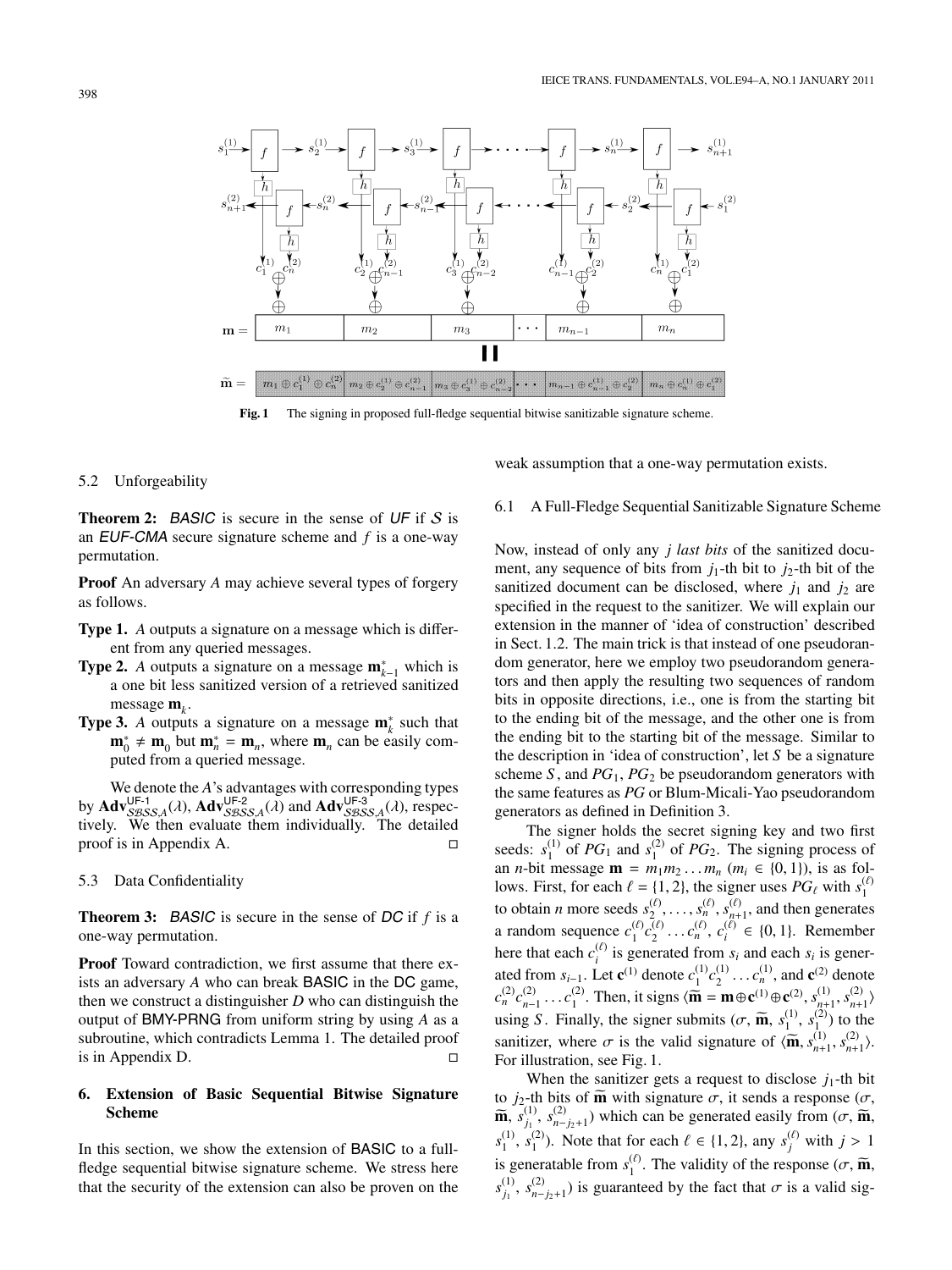

Fig. 1 The signing in proposed full-fledge sequential bitwise sanitizable signature scheme.

#### 5.2 Unforgeability

**Theorem 2:** BASIC is secure in the sense of UF if S is an EUF-CMA secure signature scheme and *f* is a one-way permutation.

**Proof** An adversary *A* may achieve several types of forgery as follows.

- **Type 1.** *A* outputs a signature on a message which is different from any queried messages.
- **Type 2.** *A* outputs a signature on a message  $\mathbf{m}_{k-1}^*$  which is a one bit less sanitized version of a retrieved sanitized message **m***k*.
- **Type 3.** *A* outputs a signature on a message  $\mathbf{m}_k^*$  such that  $\mathbf{m}_0^* \neq \mathbf{m}_0$  but  $\mathbf{m}_n^* = \mathbf{m}_n$ , where  $\mathbf{m}_n$  can be easily computed from a queried message.

We denote the *A*'s advantages with corresponding types by  $\mathbf{Adv}_{SBSS,A}^{\mathsf{UFT}}(\lambda)$ ,  $\mathbf{Adv}_{SBSS,A}^{\mathsf{UFT2}}(\lambda)$  and  $\mathbf{Adv}_{SBSS,A}^{\mathsf{UFT3}}(\lambda)$ , respectively  $\mathbf{We}$  then evaluate them individually The detailed tively. We then evaluate them individually. The detailed proof is in Appendix A.  $\Box$ 

## 5.3 Data Confidentiality

**Theorem 3:** BASIC is secure in the sense of DC if *f* is a one-way permutation.

**Proof** Toward contradiction, we first assume that there exists an adversary *A* who can break BASIC in the DC game, then we construct a distinguisher *D* who can distinguish the output of BMY-PRNG from uniform string by using *A* as a subroutine, which contradicts Lemma 1. The detailed proof is in Appendix D.  $\Box$ 

## **6. Extension of Basic Sequential Bitwise Signature Scheme**

In this section, we show the extension of BASIC to a fullfledge sequential bitwise signature scheme. We stress here that the security of the extension can also be proven on the weak assumption that a one-way permutation exists.

### 6.1 A Full-Fledge Sequential Sanitizable Signature Scheme

Now, instead of only any *j last bits* of the sanitized document, any sequence of bits from  $j_1$ -th bit to  $j_2$ -th bit of the sanitized document can be disclosed, where  $j_1$  and  $j_2$  are specified in the request to the sanitizer. We will explain our extension in the manner of 'idea of construction' described in Sect. 1.2. The main trick is that instead of one pseudorandom generator, here we employ two pseudorandom generators and then apply the resulting two sequences of random bits in opposite directions, i.e., one is from the starting bit to the ending bit of the message, and the other one is from the ending bit to the starting bit of the message. Similar to the description in 'idea of construction', let *S* be a signature scheme  $S$ , and  $PG_1$ ,  $PG_2$  be pseudorandom generators with the same features as *PG* or Blum-Micali-Yao pseudorandom generators as defined in Definition 3.

The signer holds the secret signing key and two first seeds:  $s_1^{(1)}$  of *PG*<sub>1</sub> and  $s_1^{(2)}$  of *PG*<sub>2</sub>. The signing process of an *n*-bit message  $\mathbf{m} = m_1 m_2 \dots m_n$  ( $m_i \in \{0, 1\}$ ), is as follows. First, for each  $\ell = \{1, 2\}$ , the signer uses  $PG_{\ell}$  with  $s_1^{(\ell)}$ to obtain *n* more seeds  $s_2^{(\ell)}, \ldots, s_n^{(\ell)}, s_{n+1}^{(\ell)}$ , and then generates a random sequence  $c_1^{(\ell)}c_2^{(\ell)} \dots c_n^{(\ell)}$ ,  $c_i^{(\ell)} \in \{0, 1\}$ . Remember here that each  $c_i^{(\ell)}$  is generated from  $s_i$  and each  $s_i$  is generated from *s<sub>i−1</sub>*. Let **c**<sup>(1)</sup> denote  $c_1^{(1)}c_2^{(1)} \ldots c_n^{(1)}$ , and **c**<sup>(2)</sup> denote  $c_n^{(2)} c_{n-1}^{(2)} \dots c_1^{(2)}$ . Then, it signs  $\{\widetilde{\mathbf{m}} = \mathbf{m} \oplus \mathbf{c}^{(1)} \oplus \mathbf{c}^{(2)}, s_{n+1}^{(1)}, s_{n+1}^{(2)}\}$ using *S*. Finally, the signer submits  $(\sigma, \tilde{m}, s_1^{(1)}, s_1^{(2)})$  to the seniting where  $\sigma$  is the valid signeture of  $(\tilde{m}, s_1^{(1)}, s_2^{(2)})$ . sanitizer, where  $\sigma$  is the valid signature of  $\langle \widetilde{\mathbf{m}}, s_{n+1}^{(1)}, s_{n+1}^{(2)} \rangle$ .<br>For illustration, see Fig. 1. For illustration, see Fig. 1.

When the sanitizer gets a request to disclose  $j_1$ -th bit to *j*<sub>2</sub>-th bits of  $\widetilde{\mathbf{m}}$  with signature  $\sigma$ , it sends a response  $(\sigma, \widetilde{\mathbf{m}}_{\mathbf{s}}^{(1)} | \mathbf{s}^{(2)} )$  which can be generated easily from  $(\sigma, \widetilde{\mathbf{m}})$  $\widetilde{\mathbf{m}}, s_{j_1}^{(1)}, s_{j_2+1}^{(2)}$  which can be generated easily from  $(\sigma, \widetilde{\mathbf{m}},$ *s*<sup>(1)</sup>, *s*<sup>(2)</sup>). Note that for each  $\ell \in \{1, 2\}$ , any *s*<sup>( $\ell$ </sup>) with  $j > 1$ is generatable from  $s_1^{(\ell)}$ . The validity of the response  $(\sigma, \widetilde{\mathbf{m}}, \ldots, \widetilde{\mathbf{m}})$  $s_{j_1}^{(1)}$ ,  $s_{n-j_2+1}^{(2)}$ ) is guaranteed by the fact that  $\sigma$  is a valid sig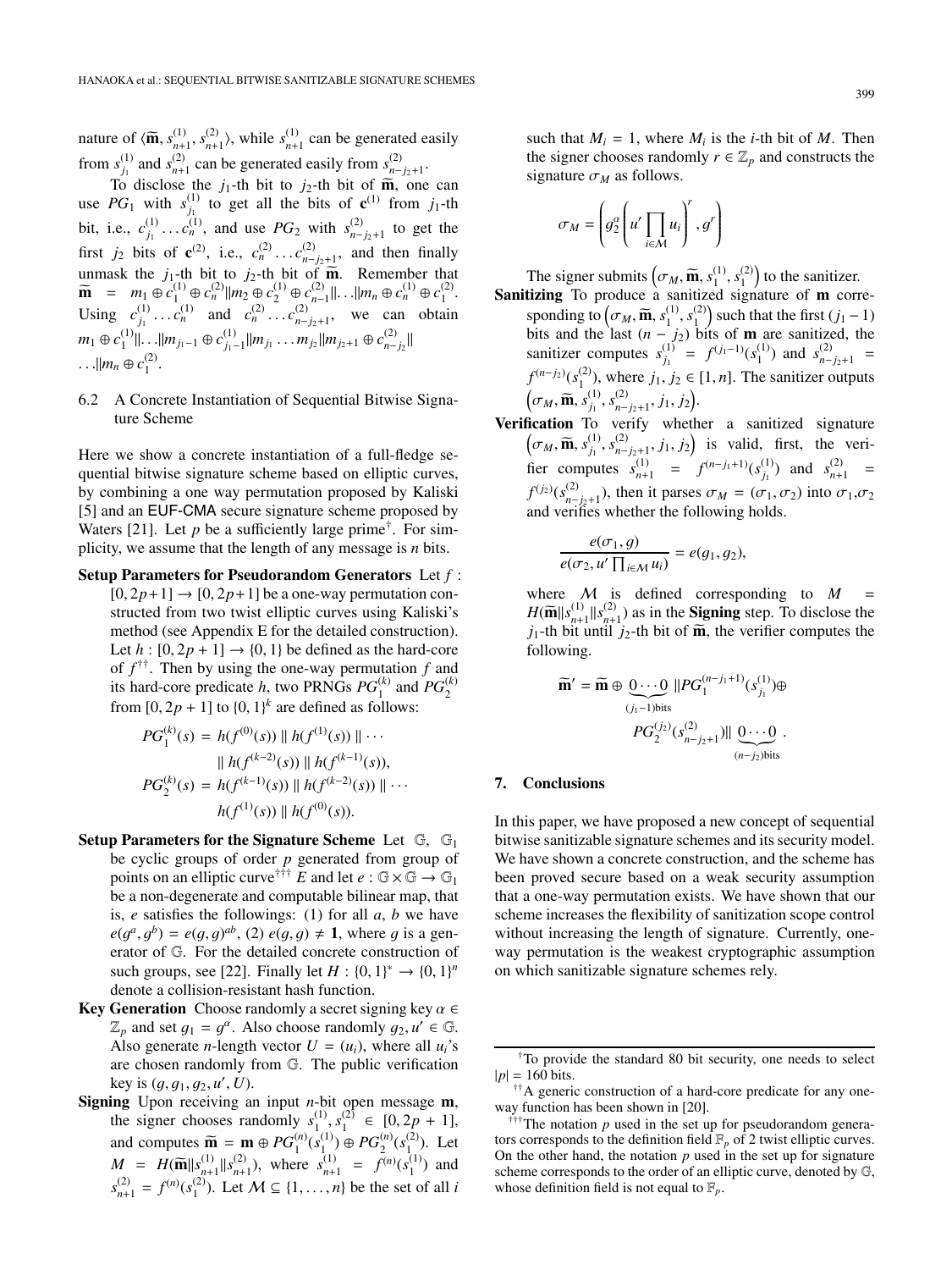nature of  $\langle \widetilde{\mathbf{m}}, s_{n+1}^{(1)}, s_{n+1}^{(2)} \rangle$ , while  $s_{n+1}^{(1)}$  can be generated easily from  $s_{j_1}^{(1)}$  and  $s_{n+1}^{(2)}$  can be generated easily from  $s_{n-j_2+1}^{(2)}$ .

To disclose the  $j_1$ -th bit to  $j_2$ -th bit of  $\widetilde{\mathbf{m}}$ , one can<br>*PG*, with  $s^{(1)}$  to get all the bits of  $c^{(1)}$  from  $j_1$ -th use  $PG_1$  with  $s_{j_1}^{(1)}$  to get all the bits of  $\mathbf{c}^{(1)}$  from  $j_1$ -th bit, i.e.,  $c_{j_1}^{(1)} \dots c_n^{(1)}$ , and use  $PG_2$  with  $s_{n-j_2+1}^{(2)}$  to get the first *j*<sub>2</sub> bits of **c**<sup>(2)</sup>, i.e.,  $c_n^{(2)} \dots c_{n-j+1}^{(2)}$ , and then finally unmask the *j*<sub>1</sub>-th bit to *j*<sub>2</sub>-th bit of  $\widetilde{\mathbf{m}}$ . Remember that  $\widetilde{\mathbf{m}} = m_1 \oplus c^{(1)} \oplus c^{(2)} \parallel m_2 \oplus c^{(1)} \oplus c^{(2)} \parallel m_3 \oplus c^{(1)} \oplus c^{(2)}$  $\widetilde{\mathbf{m}} = m_1 \oplus c_1^{(1)} \oplus c_n^{(2)} \| m_2 \oplus c_2^{(1)} \oplus c_{n-1}^{(2)} \| \dots \| m_n \oplus c_n^{(1)} \oplus c_1^{(2)}$ <br>
Using  $\begin{pmatrix} 1 \\ 2 \end{pmatrix}$  and  $\begin{pmatrix} 2 \\ 2 \end{pmatrix}$  ...,  $\begin{pmatrix} 2 \\ 2 \end{pmatrix}$  ...,  $\begin{pmatrix} 2 \\ 2 \end{pmatrix}$ Using  $c_{j_1}^{(1)} \dots c_n^{(1)}$  and  $c_n^{(2)} \dots c_{n-j_2+1}^{(2)}$ , we can obtain  $m_1 \oplus c_1^{(1)} \vert \vert \ldots \vert \vert m_{j_1-1} \oplus c_{j_1-1}^{(1)} \vert \vert m_{j_1} \ldots m_{j_2} \vert \vert m_{j_2+1} \oplus c_{n-j_2}^{(2)} \vert \vert$ ... $||m_n \oplus c_1^{(2)}$ .

6.2 A Concrete Instantiation of Sequential Bitwise Signature Scheme

Here we show a concrete instantiation of a full-fledge sequential bitwise signature scheme based on elliptic curves, by combining a one way permutation proposed by Kaliski [5] and an EUF-CMA secure signature scheme proposed by Waters [21]. Let  $p$  be a sufficiently large prime<sup>†</sup>. For simplicity, we assume that the length of any message is *n* bits.

**Setup Parameters for Pseudorandom Generators** Let *f* :  $[0, 2p+1] \rightarrow [0, 2p+1]$  be a one-way permutation constructed from two twist elliptic curves using Kaliski's method (see Appendix E for the detailed construction). Let  $h : [0, 2p + 1] \rightarrow \{0, 1\}$  be defined as the hard-core of  $f^{\dagger \dagger}$ . Then by using the one-way permutation  $f$  and its hard-core predicate *h*, two PRNGs  $PG_1^{(k)}$  and  $PG_2^{(k)}$ from  $[0, 2p + 1]$  to  $\{0, 1\}^k$  are defined as follows:

$$
PG_1^{(k)}(s) = h(f^{(0)}(s)) || h(f^{(1)}(s)) || \cdots
$$
  
 
$$
|| h(f^{(k-2)}(s)) || h(f^{(k-1)}(s))
$$
  
 
$$
PG_2^{(k)}(s) = h(f^{(k-1)}(s)) || h(f^{(k-2)}(s)) || \cdots
$$
  
 
$$
h(f^{(1)}(s)) || h(f^{(0)}(s))
$$

- **Setup Parameters for the Signature Scheme** Let G, G<sup>1</sup> be cyclic groups of order *p* generated from group of points on an elliptic curve<sup>†††</sup> *E* and let  $e : \mathbb{G} \times \mathbb{G} \to \mathbb{G}_1$ be a non-degenerate and computable bilinear map, that is, *e* satisfies the followings: (1) for all *a*, *b* we have  $e(g^a, g^b) = e(g, g)^{ab}$ , (2)  $e(g, g) \neq 1$ , where g is a generator of  $\mathbb{G}$ . For the detailed concrete construction of erator of G. For the detailed concrete construction of such groups, see [22]. Finally let  $H : \{0, 1\}^* \to \{0, 1\}^n$ <br>denote a collision-resistant hash function denote a collision-resistant hash function.
- **Key Generation** Choose randomly a secret signing key  $\alpha \in$  $\mathbb{Z}_p$  and set  $q_1 = q^{\alpha}$ . Also choose randomly  $q_2, u' \in \mathbb{G}$ . Also generate *n*-length vector  $U = (u_i)$ , where all  $u_i$ 's are chosen randomly from G. The public verification key is  $(g, g_1, g_2, u', U)$ .<br>**Signing** Upon receiving an input *n*-bit open message **m**,
- the signer chooses randomly  $s_1^{(1)}, s_1^{(2)} \in [0, 2p + 1]$ ,<br>and somewhere  $\tilde{\mathfrak{B}} = \mathfrak{m} \oplus BC^{(n)}(s_1^{(1)}) \oplus BC^{(n)}(s_2^{(2)})$ . Let and computes  $\widetilde{\mathbf{m}} = \mathbf{m} \oplus PG_1^{(n)}(s_1^{(1)}) \oplus PG_2^{(n)}(s_1^{(2)})$ . Let  $M = H(\widetilde{\mathbf{m}}||s_{n+1}^{(1)}||s_{n+2}^{(2)})$ , where  $s_{n+1}^{(1)} = f^{(n)}(s_1^{(1)})$  and  $s_{n+1}^{(2)} = s_{n+1}^{(n)}(s_1^{(2)})$ .  $s_{n+1}^{(2)} = f^{(n)}(s_1^{(2)})$ . Let  $M \subseteq \{1, ..., n\}$  be the set of all *i*

such that  $M_i = 1$ , where  $M_i$  is the *i*-th bit of M. Then the signer chooses randomly  $r \in \mathbb{Z}_p$  and constructs the signature  $\sigma_M$  as follows.

$$
\sigma_M = \left( g_2^{\alpha} \left( u' \prod_{i \in M} u_i \right)^r, g^r \right)
$$

The signer submits  $(\sigma_M, \widetilde{\mathbf{m}}, s_1^{(1)}, s_1^{(2)})$ <br> **tizing** To produce a sanitized sign  $\binom{2}{1}$  to the sanitizer.

- **Sanitizing** To produce a sanitized signature of **m** corresponding to  $(\sigma_M, \widetilde{\mathbf{m}}, s_1^{(1)}, s_1^{(2)})$ <br>bits and the last  $(n - i_2)$  bi  $\binom{2}{1}$  such that the first  $(j_1 - 1)$ bits and the last  $(n - j_2)$  bits of **m** are sanitized, the sanitizer computes  $s_{j_1}^{(1)} = f^{(j_1-1)}(s_1^{(1)})$  and  $s_{n-j_2+1}^{(2)} =$  $f^{(n-j_2)}(s_1^{(2)})$ , where *j*<sub>1</sub>, *j*<sub>2</sub> ∈ [1, *n*]. The sanitizer outputs  $\left(\sigma_M, \widetilde{\mathbf{m}}, s_{j_1}^{(1)}, s_{n-j_2+1}^{(2)}, j_1, j_2\right)$ .
- **Verification** To verify whether a sanitized signature  $(\sigma_M, \widetilde{\mathbf{m}}, s_{j_1}^{(1)}, s_{n-j_2+1}^{(2)}, j_1, j_2)$  is valid, first, the verifier computes  $s_{n+1}^{(1)} = f^{(n-j_1+1)}(s_{j_1}^{(1)})$  and  $s_{n+1}^{(2)} =$  $f^{(j_2)}(s_{n-j_2+1}^{(2)})$ , then it parses  $\sigma_M = (\sigma_1, \sigma_2)$  into  $\sigma_1, \sigma_2$ <br>and verifies whether the following holds.

$$
\frac{e(\sigma_1, g)}{e(\sigma_2, u' \prod_{i \in \mathcal{M}} u_i)} = e(g_1, g_2),
$$

where  $M$  is defined corresponding to  $M$  $H(\widetilde{\mathbf{m}}||s_{n+1}^{(1)}||s_{n+1}^{(2)})$  as in the **Signing** step. To disclose the *i*<sub>x</sub>-th bit until *i*<sub>2</sub>th bit of  $\widetilde{\mathbf{m}}$  the verifier computes the  $j_1$ -th bit until  $j_2$ -th bit of  $\widetilde{\mathbf{m}}$ , the verifier computes the following following.

$$
\widetilde{\mathbf{m}}' = \widetilde{\mathbf{m}} \oplus \underbrace{0 \cdots 0}_{(j_1-1)\text{bits}} \|PG_1^{(n-j_1+1)}(s_{j_1}^{(1)}) \oplus
$$

$$
PG_2^{(j_2)}(s_{n-j_2+1}^{(2)}) \| \underbrace{0 \cdots 0}_{(n-j_2)\text{bits}}.
$$

## **7. Conclusions**

In this paper, we have proposed a new concept of sequential bitwise sanitizable signature schemes and its security model. We have shown a concrete construction, and the scheme has been proved secure based on a weak security assumption that a one-way permutation exists. We have shown that our scheme increases the flexibility of sanitization scope control without increasing the length of signature. Currently, oneway permutation is the weakest cryptographic assumption on which sanitizable signature schemes rely.

<sup>†</sup>To provide the standard 80 bit security, one needs to select  $|p| = 160$  bits.

<sup>&</sup>lt;sup>††</sup>A generic construction of a hard-core predicate for any oneway function has been shown in [20].

 $\ddot{\mathbf{t}}$  The notation p used in the set up for pseudorandom generators corresponds to the definition field  $\mathbb{F}_p$  of 2 twist elliptic curves. On the other hand, the notation  $p$  used in the set up for signature scheme corresponds to the order of an elliptic curve, denoted by G, whose definition field is not equal to  $\mathbb{F}_p$ .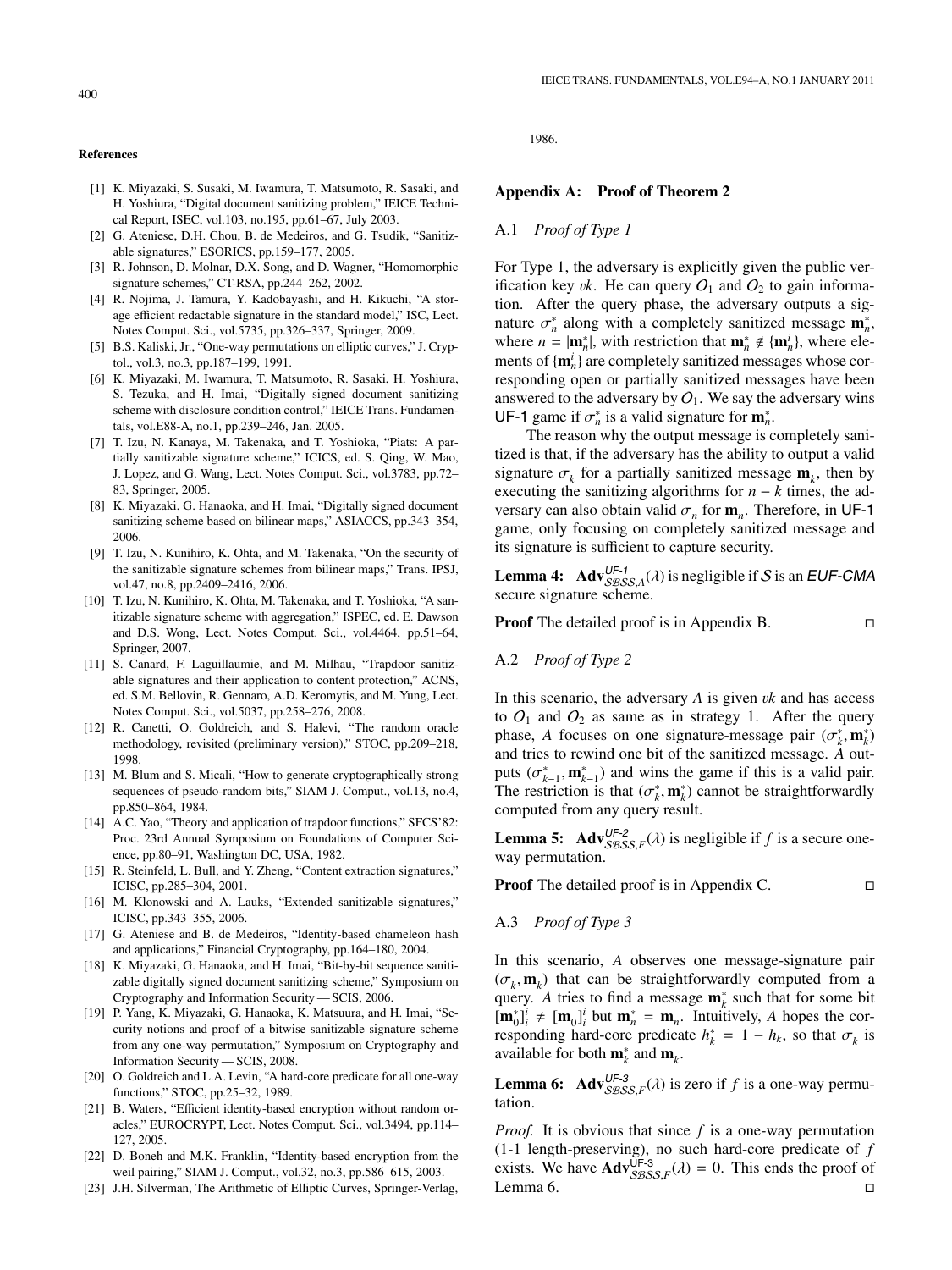#### **References**

- [1] K. Miyazaki, S. Susaki, M. Iwamura, T. Matsumoto, R. Sasaki, and H. Yoshiura, "Digital document sanitizing problem," IEICE Technical Report, ISEC, vol.103, no.195, pp.61–67, July 2003.
- [2] G. Ateniese, D.H. Chou, B. de Medeiros, and G. Tsudik, "Sanitizable signatures," ESORICS, pp.159–177, 2005.
- [3] R. Johnson, D. Molnar, D.X. Song, and D. Wagner, "Homomorphic signature schemes," CT-RSA, pp.244–262, 2002.
- [4] R. Nojima, J. Tamura, Y. Kadobayashi, and H. Kikuchi, "A storage efficient redactable signature in the standard model," ISC, Lect. Notes Comput. Sci., vol.5735, pp.326–337, Springer, 2009.
- [5] B.S. Kaliski, Jr., "One-way permutations on elliptic curves," J. Cryptol., vol.3, no.3, pp.187–199, 1991.
- [6] K. Miyazaki, M. Iwamura, T. Matsumoto, R. Sasaki, H. Yoshiura, S. Tezuka, and H. Imai, "Digitally signed document sanitizing scheme with disclosure condition control," IEICE Trans. Fundamentals, vol.E88-A, no.1, pp.239–246, Jan. 2005.
- [7] T. Izu, N. Kanaya, M. Takenaka, and T. Yoshioka, "Piats: A partially sanitizable signature scheme," ICICS, ed. S. Qing, W. Mao, J. Lopez, and G. Wang, Lect. Notes Comput. Sci., vol.3783, pp.72– 83, Springer, 2005.
- [8] K. Miyazaki, G. Hanaoka, and H. Imai, "Digitally signed document sanitizing scheme based on bilinear maps," ASIACCS, pp.343–354, 2006.
- [9] T. Izu, N. Kunihiro, K. Ohta, and M. Takenaka, "On the security of the sanitizable signature schemes from bilinear maps," Trans. IPSJ, vol.47, no.8, pp.2409–2416, 2006.
- [10] T. Izu, N. Kunihiro, K. Ohta, M. Takenaka, and T. Yoshioka, "A sanitizable signature scheme with aggregation," ISPEC, ed. E. Dawson and D.S. Wong, Lect. Notes Comput. Sci., vol.4464, pp.51–64, Springer, 2007.
- [11] S. Canard, F. Laguillaumie, and M. Milhau, "Trapdoor sanitizable signatures and their application to content protection," ACNS, ed. S.M. Bellovin, R. Gennaro, A.D. Keromytis, and M. Yung, Lect. Notes Comput. Sci., vol.5037, pp.258–276, 2008.
- [12] R. Canetti, O. Goldreich, and S. Halevi, "The random oracle methodology, revisited (preliminary version)," STOC, pp.209–218, 1998.
- [13] M. Blum and S. Micali, "How to generate cryptographically strong sequences of pseudo-random bits," SIAM J. Comput., vol.13, no.4, pp.850–864, 1984.
- [14] A.C. Yao, "Theory and application of trapdoor functions," SFCS'82: Proc. 23rd Annual Symposium on Foundations of Computer Science, pp.80–91, Washington DC, USA, 1982.
- [15] R. Steinfeld, L. Bull, and Y. Zheng, "Content extraction signatures," ICISC, pp.285–304, 2001.
- [16] M. Klonowski and A. Lauks, "Extended sanitizable signatures," ICISC, pp.343–355, 2006.
- [17] G. Ateniese and B. de Medeiros, "Identity-based chameleon hash and applications," Financial Cryptography, pp.164–180, 2004.
- [18] K. Miyazaki, G. Hanaoka, and H. Imai, "Bit-by-bit sequence sanitizable digitally signed document sanitizing scheme," Symposium on Cryptography and Information Security — SCIS, 2006.
- [19] P. Yang, K. Miyazaki, G. Hanaoka, K. Matsuura, and H. Imai, "Security notions and proof of a bitwise sanitizable signature scheme from any one-way permutation," Symposium on Cryptography and Information Security — SCIS, 2008.
- [20] O. Goldreich and L.A. Levin, "A hard-core predicate for all one-way functions," STOC, pp.25–32, 1989.
- [21] B. Waters, "Efficient identity-based encryption without random oracles," EUROCRYPT, Lect. Notes Comput. Sci., vol.3494, pp.114– 127, 2005.
- [22] D. Boneh and M.K. Franklin, "Identity-based encryption from the weil pairing," SIAM J. Comput., vol.32, no.3, pp.586–615, 2003.
- [23] J.H. Silverman, The Arithmetic of Elliptic Curves, Springer-Verlag,

1986.

## **Appendix A: Proof of Theorem 2**

#### A.1 *Proof of Type 1*

For Type 1, the adversary is explicitly given the public verification key *vk*. He can query  $O_1$  and  $O_2$  to gain information. After the query phase, the adversary outputs a signature  $\sigma_n^*$  along with a completely sanitized message  $\mathbf{m}_n^*$ , where  $n - |\mathbf{m}^*|$  with restriction that  $\mathbf{m}^* \notin {\{m^i\}}$ , where elewhere  $n = |\mathbf{m}_n^*|$ , with restriction that  $\mathbf{m}_n^* \notin {\mathbf{m}_n^i}$ , where elements of  $\{\mathbf{m}_n^i\}$  are completely sanitized messages whose corresponding open or partially sanitized messages have been answered to the adversary by  $O<sub>1</sub>$ . We say the adversary wins UF-1 game if  $\sigma_n^*$  is a valid signature for  $\mathbf{m}_n^*$ .<br>The reason why the output message is c

The reason why the output message is completely sanitized is that, if the adversary has the ability to output a valid signature  $\sigma_k$  for a partially sanitized message  $\mathbf{m}_k$ , then by executing the sanitizing algorithms for  $n - k$  times, the adversary can also obtain valid  $\sigma_n$  for  $\mathbf{m}_n$ . Therefore, in UF-1 game, only focusing on completely sanitized message and its signature is sufficient to capture security.

**Lemma 4:**  $\text{Adv}_{SS,AS}^{UF-1}(\lambda)$  is negligible if S is an EUF-CMA secure signature scheme secure signature scheme.

**Proof** The detailed proof is in Appendix B.

A.2 *Proof of Type 2*

In this scenario, the adversary *<sup>A</sup>* is given v*<sup>k</sup>* and has access to  $O_1$  and  $O_2$  as same as in strategy 1. After the query phase, *A* focuses on one signature-message pair  $(\sigma_k^*, \mathbf{m}_k^*)$ <br>and tries to rewind one bit of the sanitized message *A* outand tries to rewind one bit of the sanitized message. *A* outputs  $(\sigma_{k-1}^*, \mathbf{m}_{k-1}^*)$  and wins the game if this is a valid pair.<br>The restriction is that  $(\sigma^*, \mathbf{m}^*)$  cannot be straightforwardly The restriction is that  $(\sigma_k^*, \mathbf{m}_k^*)$  cannot be straightforwardly computed from any query result computed from any query result.

**Lemma 5:**  $\mathbf{Adv}_{\mathcal{B}SSS,F}^{UF-2}(\lambda)$  is negligible if *f* is a secure one-<br>way permutation way permutation.

**Proof** The detailed proof is in Appendix C.

A.3 *Proof of Type 3*

In this scenario, *A* observes one message-signature pair  $(\sigma_k, \mathbf{m}_k)$  that can be straightforwardly computed from a query.  $\hat{A}$  tries to find a message  $\mathbf{m}_{k}^{*}$  such that for some bit  $[\mathbf{m}_0^*]^i_i \neq [\mathbf{m}_0]^i_i$  but  $\mathbf{m}_n^* = \mathbf{m}_n$ . Intuitively, *A* hopes the corresponding hard-core predicate  $h_k^* = 1 - h_k$ , so that  $\sigma_k$  is available for both **m**<sup>\*</sup> and **m** available for both  $\mathbf{m}_k^*$  and  $\mathbf{m}_k$ .

**Lemma 6:**  $\mathbf{Adv}_{\mathcal{SBSS},F}^{UF\!3}(\lambda)$  is zero if *f* is a one-way permutation tation.

*Proof.* It is obvious that since *f* is a one-way permutation (1-1 length-preserving), no such hard-core predicate of *f* exists. We have  $\mathbf{Adv}_{SSSS,F}^{UF-3}(\lambda) = 0$ . This ends the proof of  $\square$ Lemma 6.  $\Box$ 

 $\Box$ 

 $\Box$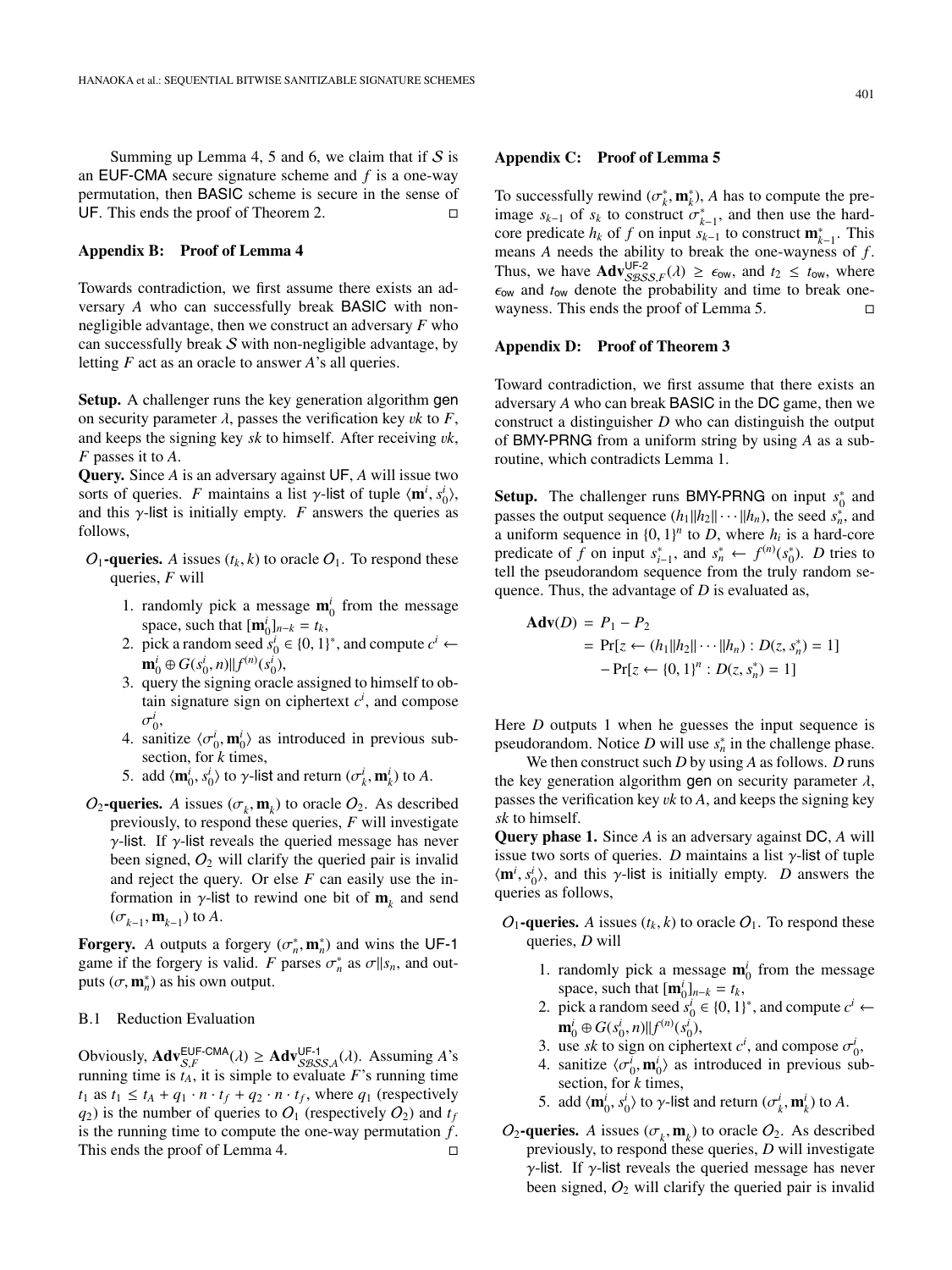Summing up Lemma 4, 5 and 6, we claim that if  $S$  is an EUF-CMA secure signature scheme and *f* is a one-way permutation, then BASIC scheme is secure in the sense of UF. This ends the proof of Theorem 2.  $\Box$ 

## **Appendix B: Proof of Lemma 4**

Towards contradiction, we first assume there exists an adversary *A* who can successfully break BASIC with nonnegligible advantage, then we construct an adversary *F* who can successfully break  $S$  with non-negligible advantage, by letting *F* act as an oracle to answer *A*'s all queries.

**Setup.** A challenger runs the key generation algorithm gen on security parameter  $\lambda$ , passes the verification key *vk* to *F*, and keeps the signing key *sk* to himself. After receiving v*k*, *F* passes it to *A*.

**Query.** Since *A* is an adversary against UF, *A* will issue two sorts of queries. *F* maintains a list  $\gamma$ -list of tuple  $\langle \mathbf{m}^i, s_0^i \rangle$ , and this  $\gamma$ -list is initially empty. *F* answers the queries as and this  $\gamma$ -list is initially empty. *F* answers the queries as follows,

- $O_1$ -queries. A issues  $(t_k, k)$  to oracle  $O_1$ . To respond these queries, *F* will
	- 1. randomly pick a message  $m^i_0$  from the message space, such that  $[\mathbf{m}_0^i]_{n-k} = t_k$ ,
	- 2. pick a random seed  $s_0^i \in \{0, 1\}^*$ , and compute  $c^i \leftarrow m^i \oplus C(s^i, n) \cup f^{(n)}(s^i)$  $\mathbf{m}_0^i \oplus G(s_0^i, n) || f^{(n)}(s_0^i),$ <br>
	query the signing oracle
	- 3. query the signing oracle assigned to himself to obtain signature sign on ciphertext  $c^i$ , and compose  $\sigma_0^i$ ,<br>san
	- 4. sanitize  $\langle \sigma_0^i, \mathbf{m}_0^i \rangle$  as introduced in previous subsection, for *k* times,
	- 5. add  $\langle \mathbf{m}_0^i, s_0^i \rangle$  to  $\gamma$ -list and return  $(\sigma_k^i, \mathbf{m}_k^i)$  to *A*.
- $O_2$ -queries. A issues ( $\sigma_k$ ,  $\mathbf{m}_k$ ) to oracle  $O_2$ . As described previously, to respond these queries, *F* will investigate  $γ$ -list. If  $γ$ -list reveals the queried message has never been signed,  $O_2$  will clarify the queried pair is invalid and reject the query. Or else *F* can easily use the information in  $\gamma$ -list to rewind one bit of  $\mathbf{m}_k$  and send  $(\sigma_{k-1}, \mathbf{m}_{k-1})$  to *A*.

**Forgery.** *A* outputs a forgery  $(\sigma_n^*, \mathbf{m}_n^*)$  and wins the UF-1 game if the forgery is valid F parses  $\sigma^*$  as  $\sigma^{\text{ll}}$  and outgame if the forgery is valid. *F* parses  $\sigma_n^*$  as  $\sigma ||s_n$ , and out-<br>puts  $(c \mathbf{r} \mathbf{m}^*)$  as his own output puts  $(\sigma, \mathbf{m}_n^*)$  as his own output.

#### B.1 Reduction Evaluation

Obviously,  $\mathbf{Adv}^{\mathsf{EUF-CMA}}_{S,F}(\lambda) \geq \mathbf{Adv}^{\mathsf{UF-1}}_{S,AS}(\lambda)$ . Assuming *A*'s running time running time is  $t_A$ , it is simple to evaluate *F*'s running time  $t_1$  as  $t_1 \leq t_A + q_1 \cdot n \cdot t_f + q_2 \cdot n \cdot t_f$ , where  $q_1$  (respectively  $q_2$ ) is the number of queries to  $Q_1$  (respectively  $Q_2$ ) and  $t_f$ is the running time to compute the one-way permutation *f* . This ends the proof of Lemma 4.  $\Box$ 

#### **Appendix C: Proof of Lemma 5**

To successfully rewind  $(\sigma_k^*, \mathbf{m}_k^*)$ , *A* has to compute the pre-<br>image  $s_{k+1}$  of  $s_k$  to construct  $\sigma_k^*$  and then use the hardimage  $s_{k-1}$  of  $s_k$  to construct  $\sigma_{k-1}^*$ , and then use the hard-<br>core predicate *h*, of *f* on input  $s_{k-1}$  to construct  $\mathbf{m}^*$ . This core predicate  $h_k$  of  $f$  on input  $s_{k-1}$  to construct  $\mathbf{m}_{k-1}^*$ . This means *A* needs the ability to break the one-wayness of *f* . Thus, we have  $\mathbf{Adv}_{SBSS,F}^{UF-2}(\lambda) \geq \epsilon_{ow}$ , and  $t_2 \leq t_{ow}$ , where  $\epsilon_{sw}$  and  $t_{sw}$  denote the probability and time to break one- $\epsilon_{\text{ow}}$  and  $t_{\text{ow}}$  denote the probability and time to break one-<br>wavness. This ends the proof of Lemma 5. wayness. This ends the proof of Lemma 5.

#### **Appendix D: Proof of Theorem 3**

Toward contradiction, we first assume that there exists an adversary *A* who can break BASIC in the DC game, then we construct a distinguisher *D* who can distinguish the output of BMY-PRNG from a uniform string by using *A* as a subroutine, which contradicts Lemma 1.

**Setup.** The challenger runs BMY-PRNG on input  $s_0^*$  and passes the output sequence  $(h_1 || h_2 || \cdots || h_n)$ , the seed  $s_n^*$ , and a uniform sequence in  $\{0, 1\}^n$  to *D*, where  $h_i$  is a hard-core predicate of *f* on input  $s^*$  and  $s^* \leftarrow f^{(n)}(s^*)$  *D* tries to predicate of *f* on input  $s_{i-1}^*$ , and  $s_n^* \leftarrow f^{(n)}(s_0^*)$ . *D* tries to tell the pseudorandom sequence from the truly random sequence. Thus, the advantage of *D* is evaluated as,

$$
\begin{aligned} \mathbf{Adv}(D) &= P_1 - P_2 \\ &= \Pr[z \leftarrow (h_1 || h_2 || \cdots || h_n) : D(z, s_n^*) = 1] \\ &- \Pr[z \leftarrow \{0, 1\}^n : D(z, s_n^*) = 1] \end{aligned}
$$

Here *D* outputs 1 when he guesses the input sequence is pseudorandom. Notice  $D$  will use  $s_n^*$  in the challenge phase.

We then construct such *D* by using *A* as follows. *D* runs the key generation algorithm gen on security parameter  $\lambda$ , passes the verification key v*<sup>k</sup>* to *<sup>A</sup>*, and keeps the signing key *sk* to himself.

**Query phase 1.** Since *A* is an adversary against DC, *A* will issue two sorts of queries.  $D$  maintains a list  $\gamma$ -list of tuple  $\langle \mathbf{m}^i, s_0^i \rangle$ , and this  $\gamma$ -list is initially empty. *D* answers the queries as follows queries as follows,

- $O_1$ **-queries.** *A* issues  $(t_k, k)$  to oracle  $O_1$ . To respond these queries, *D* will
	- 1. randomly pick a message  $m^i_0$  from the message space, such that  $[\mathbf{m}_0^i]_{n-k} = t_k$ ,
	- 2. pick a random seed  $s_0^i \in \{0, 1\}^*$ , and compute  $c^i \leftarrow m^i \oplus C(s^i, n) \cup f^{(n)}(s^i)$  $\mathbf{m}_0^i \oplus G(s_0^i, n) || f^{(n)}(s_0^i),$ <br>use sk to sign on ciphe
	- 3. use *sk* to sign on ciphertext *c<sup>i</sup>*, and compose  $\sigma_0^i$ , <br>4. sanitize  $(\sigma^i, \mathbf{m}^i)$  as introduced in previous sul
	- 4. sanitize  $\langle \sigma_0^i, \mathbf{m}_0^i \rangle$  as introduced in previous subsection, for *k* times,
	- 5. add  $\langle \mathbf{m}_0^i, s_0^i \rangle$  to  $\gamma$ -list and return  $(\sigma_k^i, \mathbf{m}_k^i)$  to *A*.
- $O_2$ -queries. A issues  $(\sigma_k, \mathbf{m}_k)$  to oracle  $O_2$ . As described previously, to respond these queries, *D* will investigate  $γ$ -list. If  $γ$ -list reveals the queried message has never been signed,  $O_2$  will clarify the queried pair is invalid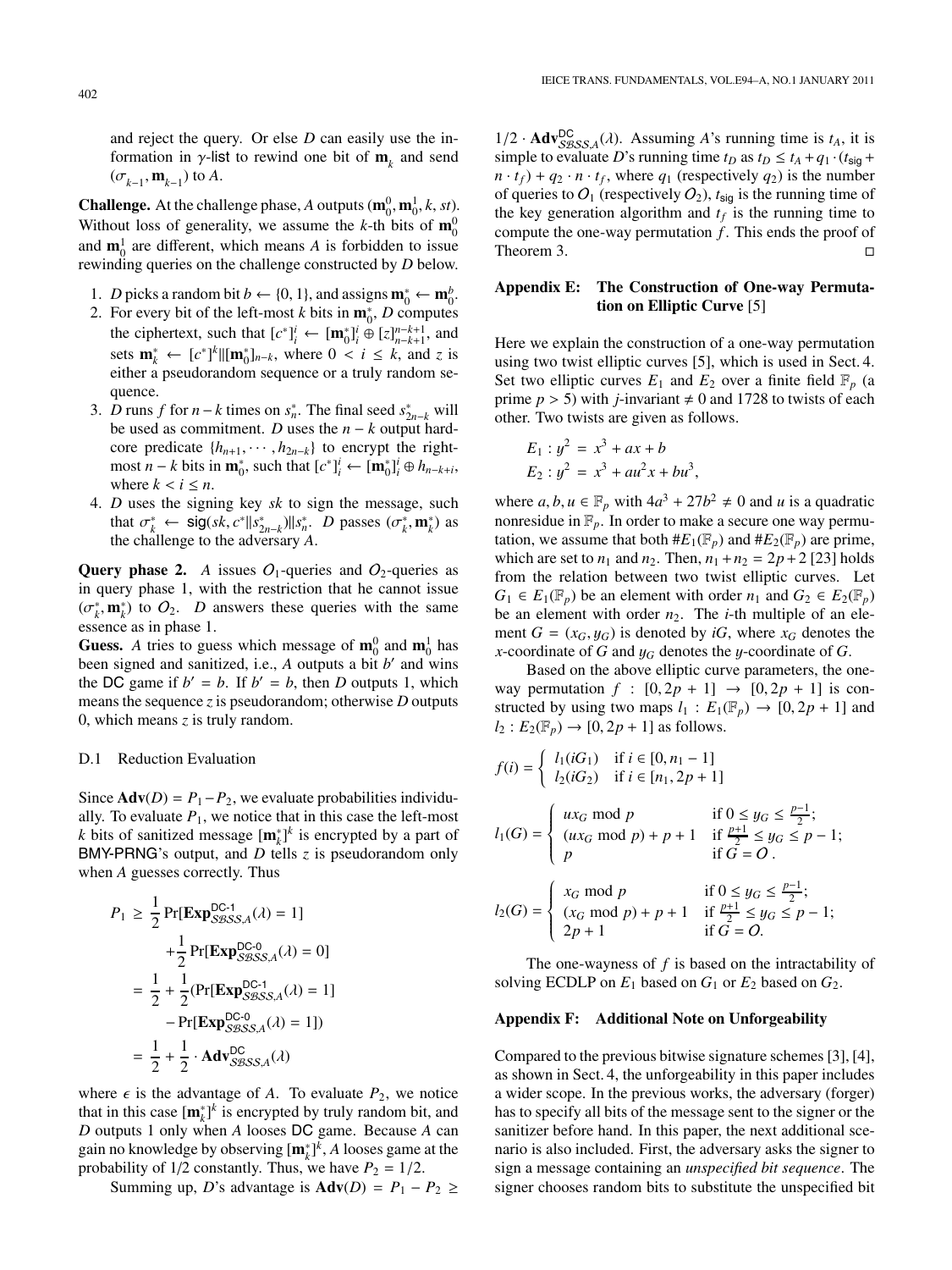and reject the query. Or else *D* can easily use the information in  $\gamma$ -list to rewind one bit of  $\mathbf{m}_k$  and send  $(\sigma_{k-1}, \mathbf{m}_{k-1})$  to *A*.

**Challenge.** At the challenge phase, *A* outputs  $(\mathbf{m}_0^0, \mathbf{m}_0^1, k, st)$ .<br>Without loss of generality, we assume the *k* th bits of  $\mathbf{m}^0$ . Without loss of generality, we assume the *k*-th bits of  $\mathbf{m}_0^0$ and  $\mathbf{m}_0^1$  are different, which means *A* is forbidden to issue rewinding queries on the challenge constructed by *D* below.

- 1. *D* picks a random bit  $b \leftarrow \{0, 1\}$ , and assigns  $\mathbf{m}_0^* \leftarrow \mathbf{m}_0^b$ .<br>2. For every bit of the left-most *k* bits in  $\mathbf{m}^*$ . *D* computes
- 2. For every bit of the left-most *k* bits in  $\mathbf{m}_0^*$ , *D* computes the ciphertext, such that  $[c^*]_i^i \leftarrow [\mathbf{m}_0^*]_i^i \oplus [z]_{n-k+1}^{n-k+1}$ , and sets  $\mathbf{m}_{k}^{*} \leftarrow [c^{*}]^{k} \|\mathbf{m}_{0}^{*}\|_{n-k}$ , where  $0 \le i \le k$ , and *z* is either a pseudorandom sequence or a truly random sequence either a pseudorandom sequence or a truly random sequence.
- 3. *D* runs *f* for *n* − *k* times on  $s_n^*$ . The final seed  $s_{2n-k}^*$  will be used as commitment. *D* uses the *n* − *k* output hardcore predicate  $\{h_{n+1}, \cdots, h_{2n-k}\}\$  to encrypt the rightmost *n* − *k* bits in  $\mathbf{m}_0^*$ , such that  $[c^*]_i^i$  ←  $[\mathbf{m}_0^*]_i^i \oplus h_{n-k+i}$ , where  $k < i \leq n$ .
- 4. *D* uses the signing key *sk* to sign the message, such that  $\sigma_k^* \leftarrow \text{sig}(sk, c^* || s_{2n-k}^* || | s_n^*$ . *D* passes  $(\sigma_k^*, \mathbf{m}_k^*)$  as the challenge to the adversary *A* the challenge to the adversary *A*.

**Query phase 2.** *A* issues  $O_1$ -queries and  $O_2$ -queries as in query phase 1, with the restriction that he cannot issue  $(\sigma_k^*, \mathbf{m}_k^*)$  to  $O_2$ . *D* answers these queries with the same essence as in phase 1 essence as in phase 1.

**Guess.** *A* tries to guess which message of  $\mathbf{m}_0^0$  and  $\mathbf{m}_0^1$  has been signed and sanitized, i.e., *A* outputs a bit *b'* and wins the DC game if  $b' = b$ . If  $b' = b$ , then *D* outputs 1, which means the sequence  $z$  is pseudorandom; otherwise  $D$  outputs 0, which means *z* is truly random.

## D.1 Reduction Evaluation

Since  $\text{Adv}(D) = P_1 - P_2$ , we evaluate probabilities individually. To evaluate  $P_1$ , we notice that in this case the left-most *k* bits of sanitized message  $[\mathbf{m}_{k}^{*}]^{k}$  is encrypted by a part of BMY-PRNG's output, and *D* tells *z* is pseudorandom only when *A* guesses correctly. Thus

$$
P_1 \ge \frac{1}{2} \Pr[\exp_{SSSS,A}^{DC-1}(\lambda) = 1]
$$
  
+  $\frac{1}{2} \Pr[\exp_{SSSS,A}^{DC-0}(\lambda) = 0]$   
=  $\frac{1}{2} + \frac{1}{2} (\Pr[\exp_{SSSS,A}^{DC-1}(\lambda) = 1]$   
-  $\Pr[\exp_{SSSS,A}^{DC-0}(\lambda) = 1])$   
=  $\frac{1}{2} + \frac{1}{2} \cdot \text{Adv}_{SSSS,A}^{DC}(\lambda)$ 

where  $\epsilon$  is the advantage of *A*. To evaluate  $P_2$ , we notice that in this case  $[\mathbf{m}_{k}^{*}]^{k}$  is encrypted by truly random bit, and *D* outputs 1 only when *A* looses DC game. Because *A* can gain no knowledge by observing  $[\mathbf{m}_{k}^{*}]^{\bar{k}}$ , *A* looses game at the probability of  $1/2$  constantly. Thus, we have  $P_2 = 1/2$ .

Summing up, *D*'s advantage is  $\text{Adv}(D) = P_1 - P_2 \geq$ 

 $1/2 \cdot \mathbf{Adv}_{SSS,A}^{\mathbf{DC}}(\lambda)$ . Assuming *A*'s running time is  $t_A$ , it is simple to evaluate *D*'s running time  $t_B$  as  $t_B \le t_A + a_B (t_B + b_B)$ simple to evaluate *D*'s running time  $t_D$  as  $t_D \le t_A + q_1 \cdot (t_{\text{sig}} +$  $n \cdot t_f$ ) +  $q_2 \cdot n \cdot t_f$ , where  $q_1$  (respectively  $q_2$ ) is the number of queries to  $O_1$  (respectively  $O_2$ ),  $t_{sig}$  is the running time of the key generation algorithm and  $t_f$  is the running time to compute the one-way permutation *f* . This ends the proof of Theorem 3.  $\Box$ 

## **Appendix E: The Construction of One-way Permutation on Elliptic Curve** [5]

Here we explain the construction of a one-way permutation using two twist elliptic curves [5], which is used in Sect. 4. Set two elliptic curves  $E_1$  and  $E_2$  over a finite field  $\mathbb{F}_p$  (a prime  $p > 5$ ) with *j*-invariant  $\neq 0$  and 1728 to twists of each other. Two twists are given as follows.

$$
E_1: y^2 = x^3 + ax + b
$$
  

$$
E_2: y^2 = x^3 + au^2x + bu^3,
$$

where  $a, b, u \in \mathbb{F}_p$  with  $4a^3 + 27b^2 \neq 0$  and *u* is a quadratic nonresidue in  $\mathbb{F}_p$ . In order to make a secure one way permutation, we assume that both  $#E_1(\mathbb{F}_p)$  and  $#E_2(\mathbb{F}_p)$  are prime, which are set to  $n_1$  and  $n_2$ . Then,  $n_1 + n_2 = 2p + 2$  [23] holds from the relation between two twist elliptic curves. Let  $G_1 \in E_1(\mathbb{F}_p)$  be an element with order  $n_1$  and  $G_2 \in E_2(\mathbb{F}_p)$ be an element with order  $n_2$ . The *i*-th multiple of an element  $G = (x_G, y_G)$  is denoted by *iG*, where  $x_G$  denotes the *<sup>x</sup>*-coordinate of *<sup>G</sup>* and <sup>y</sup>*<sup>G</sup>* denotes the <sup>y</sup>-coordinate of *<sup>G</sup>*.

Based on the above elliptic curve parameters, the oneway permutation  $f : [0, 2p + 1] \rightarrow [0, 2p + 1]$  is constructed by using two maps  $l_1 : E_1(\mathbb{F}_p) \to [0, 2p + 1]$  and  $l_2: E_2(\mathbb{F}_p) \to [0, 2p + 1]$  as follows.

$$
f(i) = \begin{cases} l_1(iG_1) & \text{if } i \in [0, n_1 - 1] \\ l_2(iG_2) & \text{if } i \in [n_1, 2p + 1] \end{cases}
$$

$$
l_1(G) = \begin{cases} ux_G \bmod p & \text{if } 0 \le y_G \le \frac{p-1}{2}; \\ (ux_G \bmod p) + p + 1 & \text{if } \frac{p+1}{2} \le y_G \le p - 1; \\ p & \text{if } G = O. \end{cases}
$$

$$
l_2(G) = \begin{cases} x_G \bmod p & \text{if } 0 \le y_G \le \frac{p-1}{2}; \\ (x_G \bmod p) + p + 1 & \text{if } \frac{p+1}{2} \le y_G \le p-1; \\ 2p+1 & \text{if } G = O. \end{cases}
$$

The one-wayness of *f* is based on the intractability of solving ECDLP on  $E_1$  based on  $G_1$  or  $E_2$  based on  $G_2$ .

#### **Appendix F: Additional Note on Unforgeability**

Compared to the previous bitwise signature schemes [3], [4], as shown in Sect. 4, the unforgeability in this paper includes a wider scope. In the previous works, the adversary (forger) has to specify all bits of the message sent to the signer or the sanitizer before hand. In this paper, the next additional scenario is also included. First, the adversary asks the signer to sign a message containing an *unspecified bit sequence*. The signer chooses random bits to substitute the unspecified bit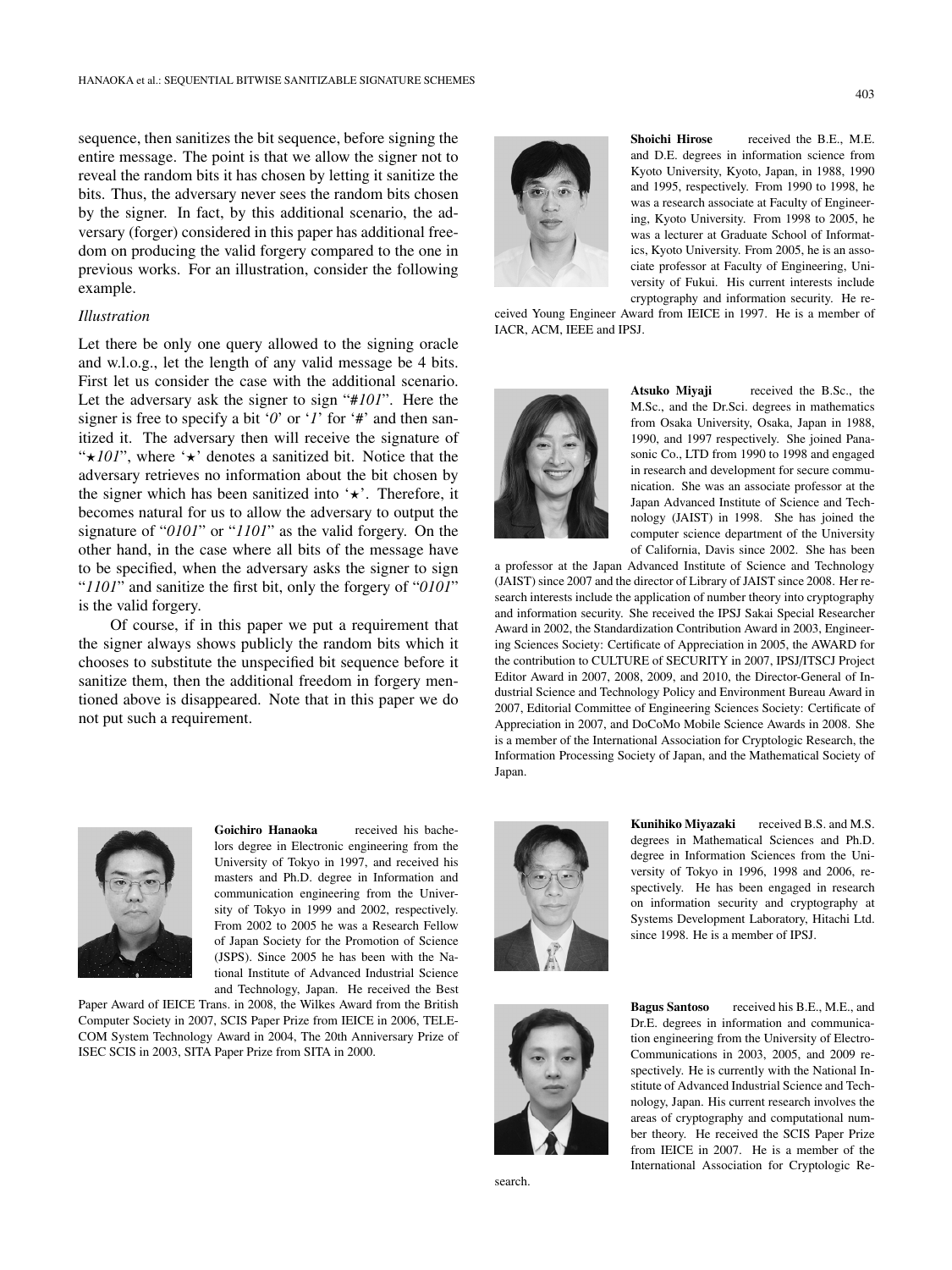sequence, then sanitizes the bit sequence, before signing the entire message. The point is that we allow the signer not to reveal the random bits it has chosen by letting it sanitize the bits. Thus, the adversary never sees the random bits chosen by the signer. In fact, by this additional scenario, the adversary (forger) considered in this paper has additional freedom on producing the valid forgery compared to the one in previous works. For an illustration, consider the following example.

## *Illustration*

Let there be only one query allowed to the signing oracle and w.l.o.g., let the length of any valid message be 4 bits. First let us consider the case with the additional scenario. Let the adversary ask the signer to sign "#*101*". Here the signer is free to specify a bit ' $0$ ' or ' $1$ ' for '#' and then sanitized it. The adversary then will receive the signature of " $\star$ 101", where ' $\star$ ' denotes a sanitized bit. Notice that the adversary retrieves no information about the bit chosen by the signer which has been sanitized into  $\star$ . Therefore, it becomes natural for us to allow the adversary to output the signature of "*0101*" or "*1101*" as the valid forgery. On the other hand, in the case where all bits of the message have to be specified, when the adversary asks the signer to sign "*1101*" and sanitize the first bit, only the forgery of "*0101*" is the valid forgery.

Of course, if in this paper we put a requirement that the signer always shows publicly the random bits which it chooses to substitute the unspecified bit sequence before it sanitize them, then the additional freedom in forgery mentioned above is disappeared. Note that in this paper we do not put such a requirement.



**Shoichi Hirose** received the B.E., M.E. and D.E. degrees in information science from Kyoto University, Kyoto, Japan, in 1988, 1990 and 1995, respectively. From 1990 to 1998, he was a research associate at Faculty of Engineering, Kyoto University. From 1998 to 2005, he was a lecturer at Graduate School of Informatics, Kyoto University. From 2005, he is an associate professor at Faculty of Engineering, University of Fukui. His current interests include

cryptography and information security. He received Young Engineer Award from IEICE in 1997. He is a member of IACR, ACM, IEEE and IPSJ.



**Atsuko Miyaji** received the B.Sc., the M.Sc., and the Dr.Sci. degrees in mathematics from Osaka University, Osaka, Japan in 1988, 1990, and 1997 respectively. She joined Panasonic Co., LTD from 1990 to 1998 and engaged in research and development for secure communication. She was an associate professor at the Japan Advanced Institute of Science and Technology (JAIST) in 1998. She has joined the computer science department of the University of California, Davis since 2002. She has been

a professor at the Japan Advanced Institute of Science and Technology (JAIST) since 2007 and the director of Library of JAIST since 2008. Her research interests include the application of number theory into cryptography and information security. She received the IPSJ Sakai Special Researcher Award in 2002, the Standardization Contribution Award in 2003, Engineering Sciences Society: Certificate of Appreciation in 2005, the AWARD for the contribution to CULTURE of SECURITY in 2007, IPSJ/ITSCJ Project Editor Award in 2007, 2008, 2009, and 2010, the Director-General of Industrial Science and Technology Policy and Environment Bureau Award in 2007, Editorial Committee of Engineering Sciences Society: Certificate of Appreciation in 2007, and DoCoMo Mobile Science Awards in 2008. She is a member of the International Association for Cryptologic Research, the Information Processing Society of Japan, and the Mathematical Society of Japan.



**Goichiro Hanaoka** received his bachelors degree in Electronic engineering from the University of Tokyo in 1997, and received his masters and Ph.D. degree in Information and communication engineering from the University of Tokyo in 1999 and 2002, respectively. From 2002 to 2005 he was a Research Fellow of Japan Society for the Promotion of Science (JSPS). Since 2005 he has been with the National Institute of Advanced Industrial Science and Technology, Japan. He received the Best

Paper Award of IEICE Trans. in 2008, the Wilkes Award from the British Computer Society in 2007, SCIS Paper Prize from IEICE in 2006, TELE-COM System Technology Award in 2004, The 20th Anniversary Prize of ISEC SCIS in 2003, SITA Paper Prize from SITA in 2000.



**Kunihiko Miyazaki** received B.S. and M.S. degrees in Mathematical Sciences and Ph.D. degree in Information Sciences from the University of Tokyo in 1996, 1998 and 2006, respectively. He has been engaged in research on information security and cryptography at Systems Development Laboratory, Hitachi Ltd. since 1998. He is a member of IPSJ.

**Bagus Santoso** received his B.E., M.E., and Dr.E. degrees in information and communication engineering from the University of Electro-Communications in 2003, 2005, and 2009 respectively. He is currently with the National Institute of Advanced Industrial Science and Technology, Japan. His current research involves the areas of cryptography and computational number theory. He received the SCIS Paper Prize from IEICE in 2007. He is a member of the International Association for Cryptologic Re-



search.